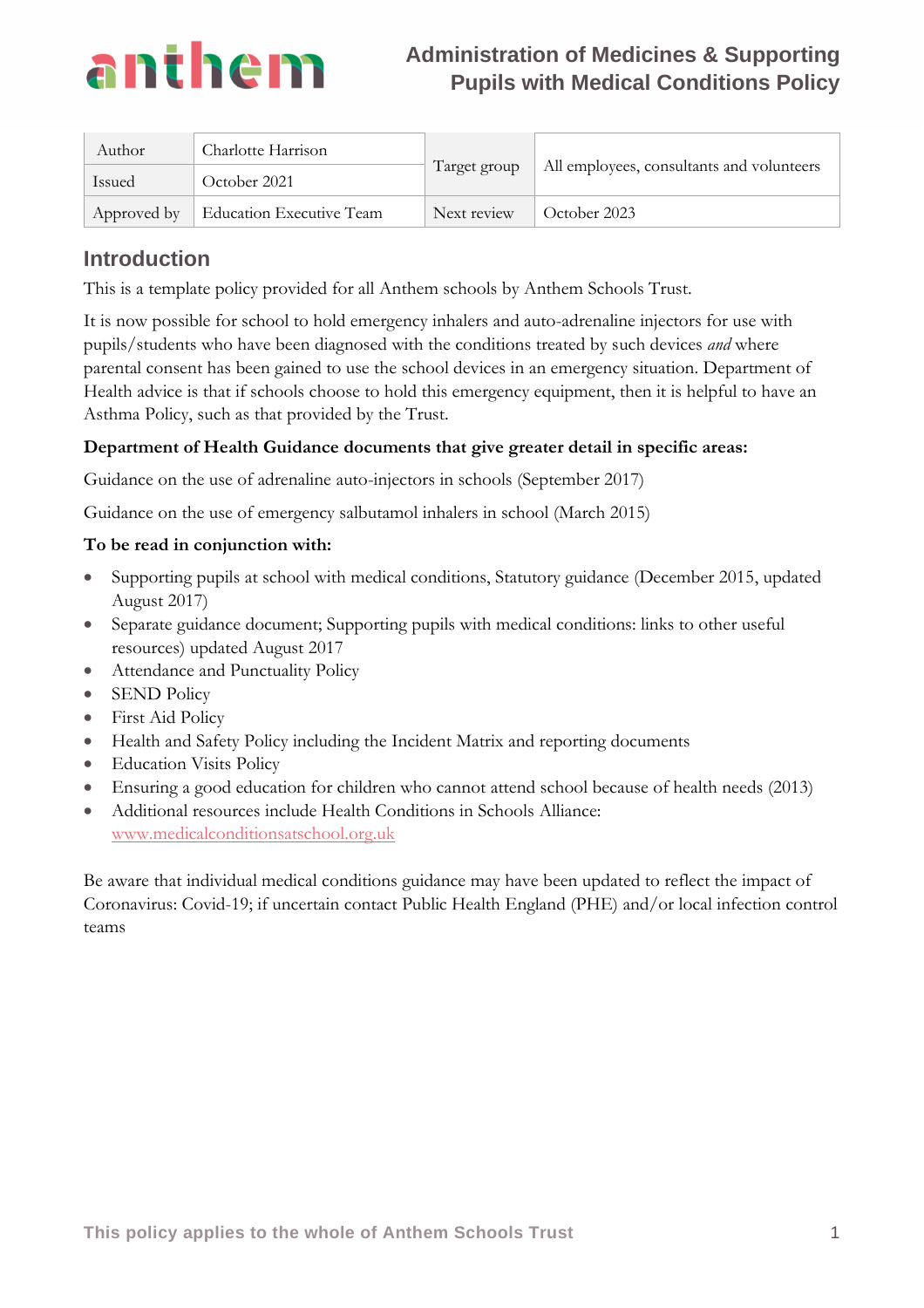

| Author | Charlotte Harrison                   | Target group | All employees, consultants and volunteers |
|--------|--------------------------------------|--------------|-------------------------------------------|
| Issued | October 2021                         |              |                                           |
|        | Approved by Education Executive Team | Next review  | October 2023                              |

### **Introduction**

This is a template policy provided for all Anthem schools by Anthem Schools Trust.

It is now possible for school to hold emergency inhalers and auto-adrenaline injectors for use with pupils/students who have been diagnosed with the conditions treated by such devices *and* where parental consent has been gained to use the school devices in an emergency situation. Department of Health advice is that if schools choose to hold this emergency equipment, then it is helpful to have an Asthma Policy, such as that provided by the Trust.

#### **Department of Health Guidance documents that give greater detail in specific areas:**

Guidance on the use of adrenaline auto-injectors in schools (September 2017)

Guidance on the use of emergency salbutamol inhalers in school (March 2015)

#### **To be read in conjunction with:**

- Supporting pupils at school with medical conditions, Statutory guidance (December 2015, updated August 2017)
- Separate guidance document; Supporting pupils with medical conditions: links to other useful resources) updated August 2017
- Attendance and Punctuality Policy
- SEND Policy
- First Aid Policy
- Health and Safety Policy including the Incident Matrix and reporting documents
- Education Visits Policy
- Ensuring a good education for children who cannot attend school because of health needs (2013)
- Additional resources include Health Conditions in Schools Alliance: [www.medicalconditionsatschool.org.uk](http://www.medicalconditionsatschool.org.uk/)

Be aware that individual medical conditions guidance may have been updated to reflect the impact of Coronavirus: Covid-19; if uncertain contact Public Health England (PHE) and/or local infection control teams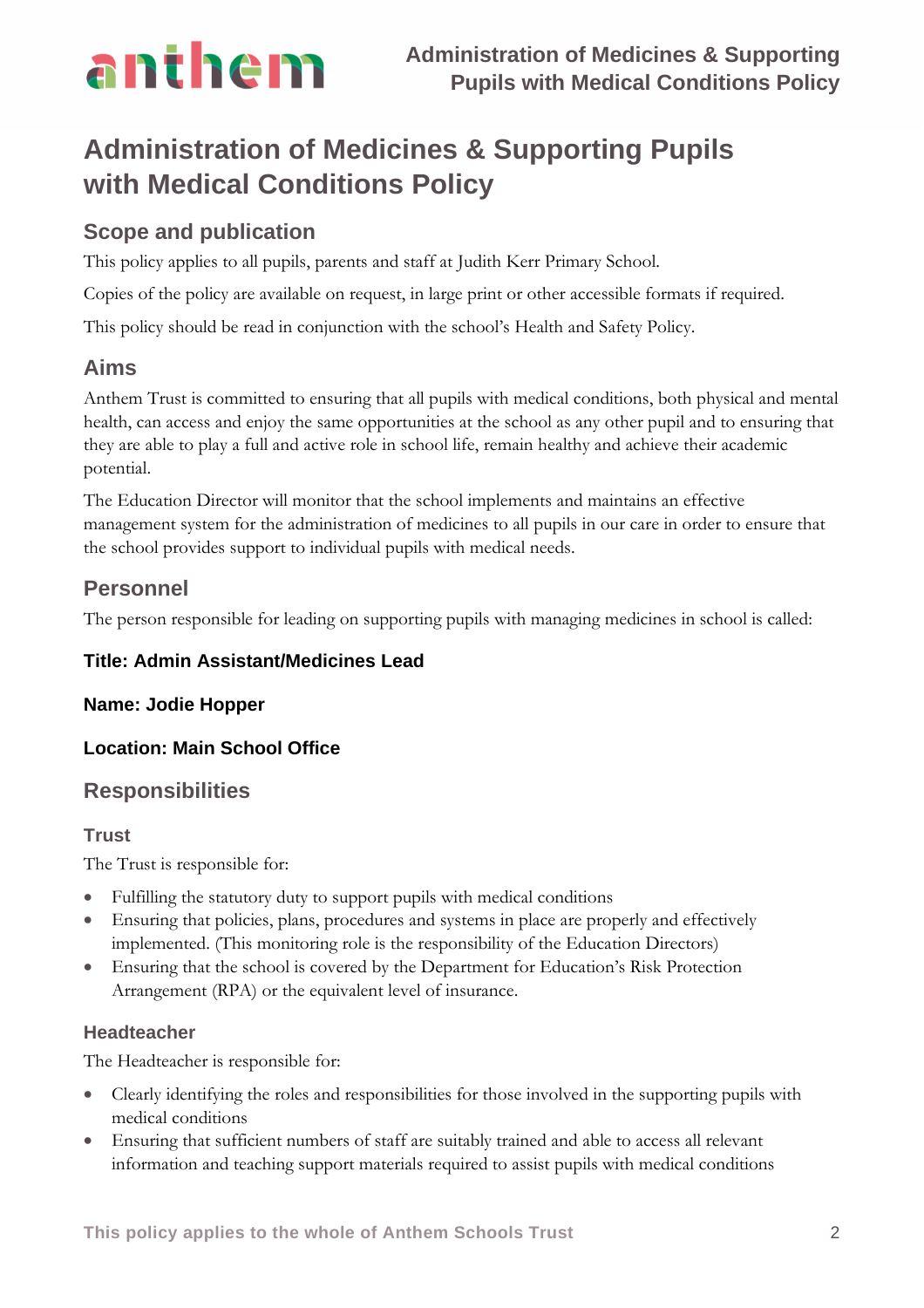

## **Scope and publication**

This policy applies to all pupils, parents and staff at Judith Kerr Primary School.

Copies of the policy are available on request, in large print or other accessible formats if required.

This policy should be read in conjunction with the school's Health and Safety Policy.

## **Aims**

Anthem Trust is committed to ensuring that all pupils with medical conditions, both physical and mental health, can access and enjoy the same opportunities at the school as any other pupil and to ensuring that they are able to play a full and active role in school life, remain healthy and achieve their academic potential.

The Education Director will monitor that the school implements and maintains an effective management system for the administration of medicines to all pupils in our care in order to ensure that the school provides support to individual pupils with medical needs.

# **Personnel**

The person responsible for leading on supporting pupils with managing medicines in school is called:

#### **Title: Admin Assistant/Medicines Lead**

#### **Name: Jodie Hopper**

**Location: Main School Office**

#### **Responsibilities**

#### **Trust**

The Trust is responsible for:

- Fulfilling the statutory duty to support pupils with medical conditions
- Ensuring that policies, plans, procedures and systems in place are properly and effectively implemented. (This monitoring role is the responsibility of the Education Directors)
- Ensuring that the school is covered by the Department for Education's Risk Protection Arrangement (RPA) or the equivalent level of insurance.

#### **Headteacher**

The Headteacher is responsible for:

- Clearly identifying the roles and responsibilities for those involved in the supporting pupils with medical conditions
- Ensuring that sufficient numbers of staff are suitably trained and able to access all relevant information and teaching support materials required to assist pupils with medical conditions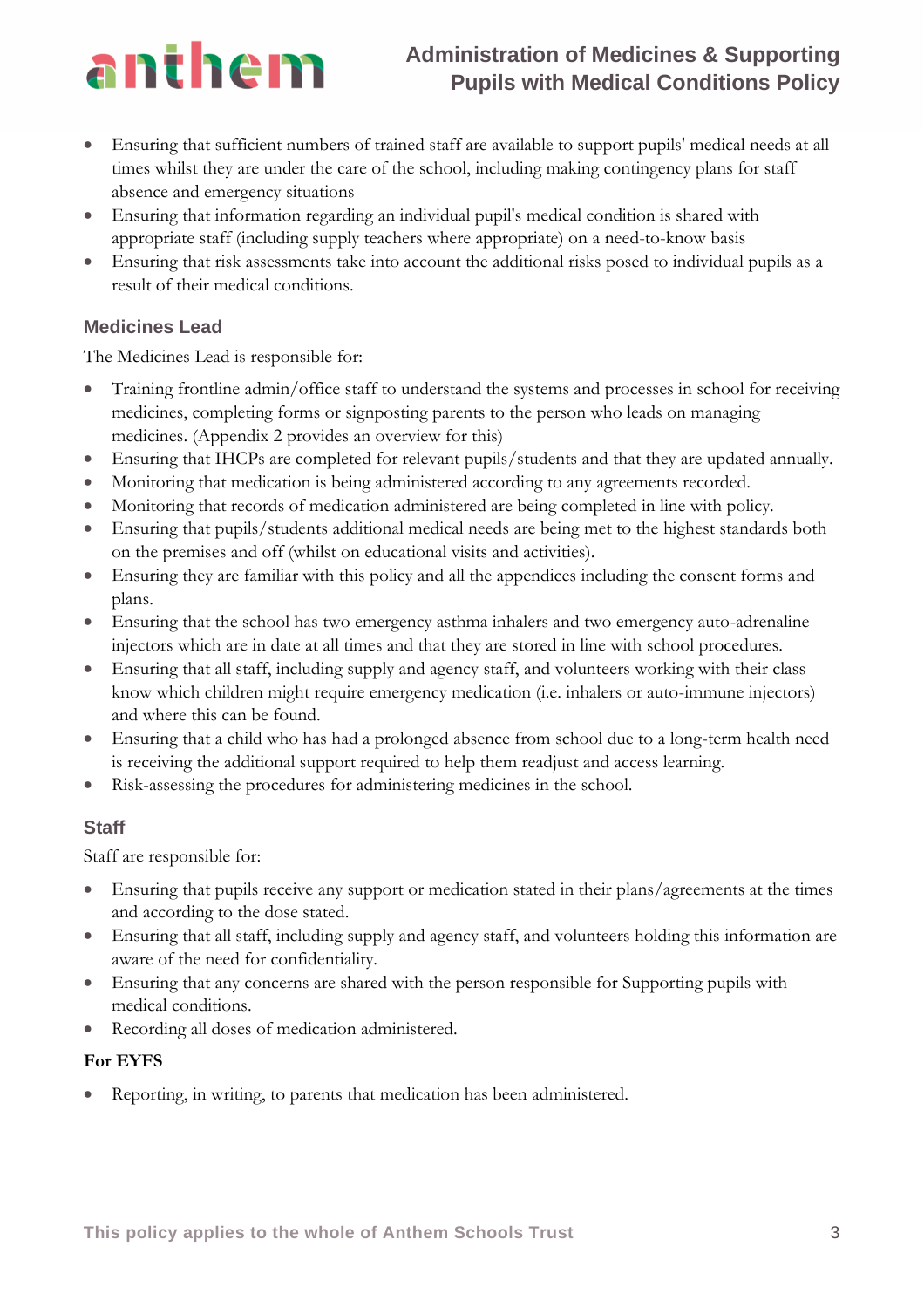# **Administration of Medicines & Supporting Pupils with Medical Conditions Policy**

- Ensuring that sufficient numbers of trained staff are available to support pupils' medical needs at all times whilst they are under the care of the school, including making contingency plans for staff absence and emergency situations
- Ensuring that information regarding an individual pupil's medical condition is shared with appropriate staff (including supply teachers where appropriate) on a need-to-know basis
- Ensuring that risk assessments take into account the additional risks posed to individual pupils as a result of their medical conditions.

#### **Medicines Lead**

The Medicines Lead is responsible for:

- Training frontline admin/office staff to understand the systems and processes in school for receiving medicines, completing forms or signposting parents to the person who leads on managing medicines. (Appendix 2 provides an overview for this)
- Ensuring that IHCPs are completed for relevant pupils/students and that they are updated annually.
- Monitoring that medication is being administered according to any agreements recorded.
- Monitoring that records of medication administered are being completed in line with policy.
- Ensuring that pupils/students additional medical needs are being met to the highest standards both on the premises and off (whilst on educational visits and activities).
- Ensuring they are familiar with this policy and all the appendices including the consent forms and plans.
- Ensuring that the school has two emergency asthma inhalers and two emergency auto-adrenaline injectors which are in date at all times and that they are stored in line with school procedures.
- Ensuring that all staff, including supply and agency staff, and volunteers working with their class know which children might require emergency medication (i.e. inhalers or auto-immune injectors) and where this can be found.
- Ensuring that a child who has had a prolonged absence from school due to a long-term health need is receiving the additional support required to help them readjust and access learning.
- Risk-assessing the procedures for administering medicines in the school.

#### **Staff**

Staff are responsible for:

- Ensuring that pupils receive any support or medication stated in their plans/agreements at the times and according to the dose stated.
- Ensuring that all staff, including supply and agency staff, and volunteers holding this information are aware of the need for confidentiality.
- Ensuring that any concerns are shared with the person responsible for Supporting pupils with medical conditions.
- Recording all doses of medication administered.

#### **For EYFS**

• Reporting, in writing, to parents that medication has been administered.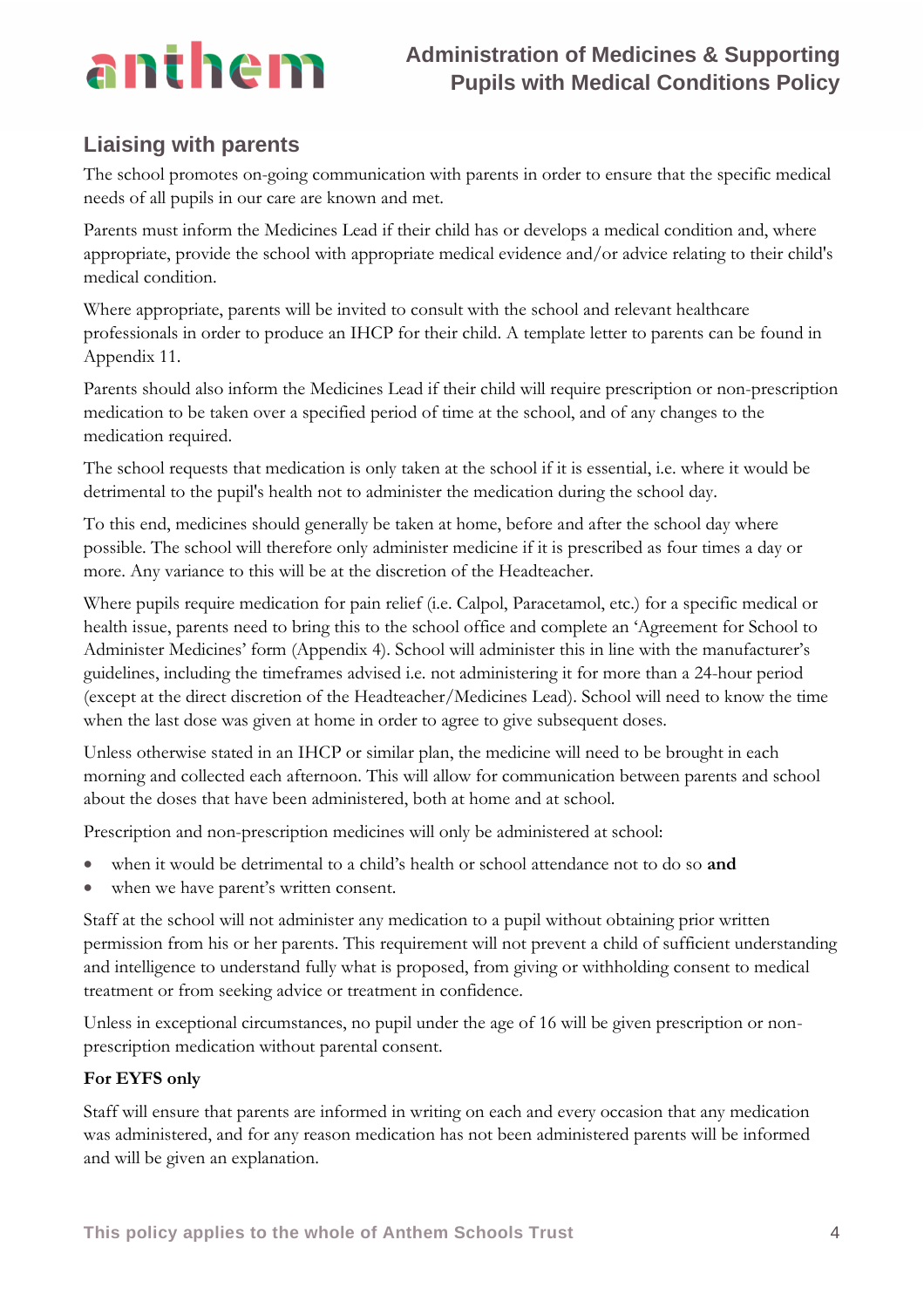

## **Liaising with parents**

The school promotes on-going communication with parents in order to ensure that the specific medical needs of all pupils in our care are known and met.

Parents must inform the Medicines Lead if their child has or develops a medical condition and, where appropriate, provide the school with appropriate medical evidence and/or advice relating to their child's medical condition.

Where appropriate, parents will be invited to consult with the school and relevant healthcare professionals in order to produce an IHCP for their child. A template letter to parents can be found in Appendix 11.

Parents should also inform the Medicines Lead if their child will require prescription or non-prescription medication to be taken over a specified period of time at the school, and of any changes to the medication required.

The school requests that medication is only taken at the school if it is essential, i.e. where it would be detrimental to the pupil's health not to administer the medication during the school day.

To this end, medicines should generally be taken at home, before and after the school day where possible. The school will therefore only administer medicine if it is prescribed as four times a day or more. Any variance to this will be at the discretion of the Headteacher.

Where pupils require medication for pain relief (i.e. Calpol, Paracetamol, etc.) for a specific medical or health issue, parents need to bring this to the school office and complete an 'Agreement for School to Administer Medicines' form (Appendix 4). School will administer this in line with the manufacturer's guidelines, including the timeframes advised i.e. not administering it for more than a 24-hour period (except at the direct discretion of the Headteacher/Medicines Lead). School will need to know the time when the last dose was given at home in order to agree to give subsequent doses.

Unless otherwise stated in an IHCP or similar plan, the medicine will need to be brought in each morning and collected each afternoon. This will allow for communication between parents and school about the doses that have been administered, both at home and at school.

Prescription and non-prescription medicines will only be administered at school:

- when it would be detrimental to a child's health or school attendance not to do so **and**
- when we have parent's written consent.

Staff at the school will not administer any medication to a pupil without obtaining prior written permission from his or her parents. This requirement will not prevent a child of sufficient understanding and intelligence to understand fully what is proposed, from giving or withholding consent to medical treatment or from seeking advice or treatment in confidence.

Unless in exceptional circumstances, no pupil under the age of 16 will be given prescription or nonprescription medication without parental consent.

#### **For EYFS only**

Staff will ensure that parents are informed in writing on each and every occasion that any medication was administered, and for any reason medication has not been administered parents will be informed and will be given an explanation.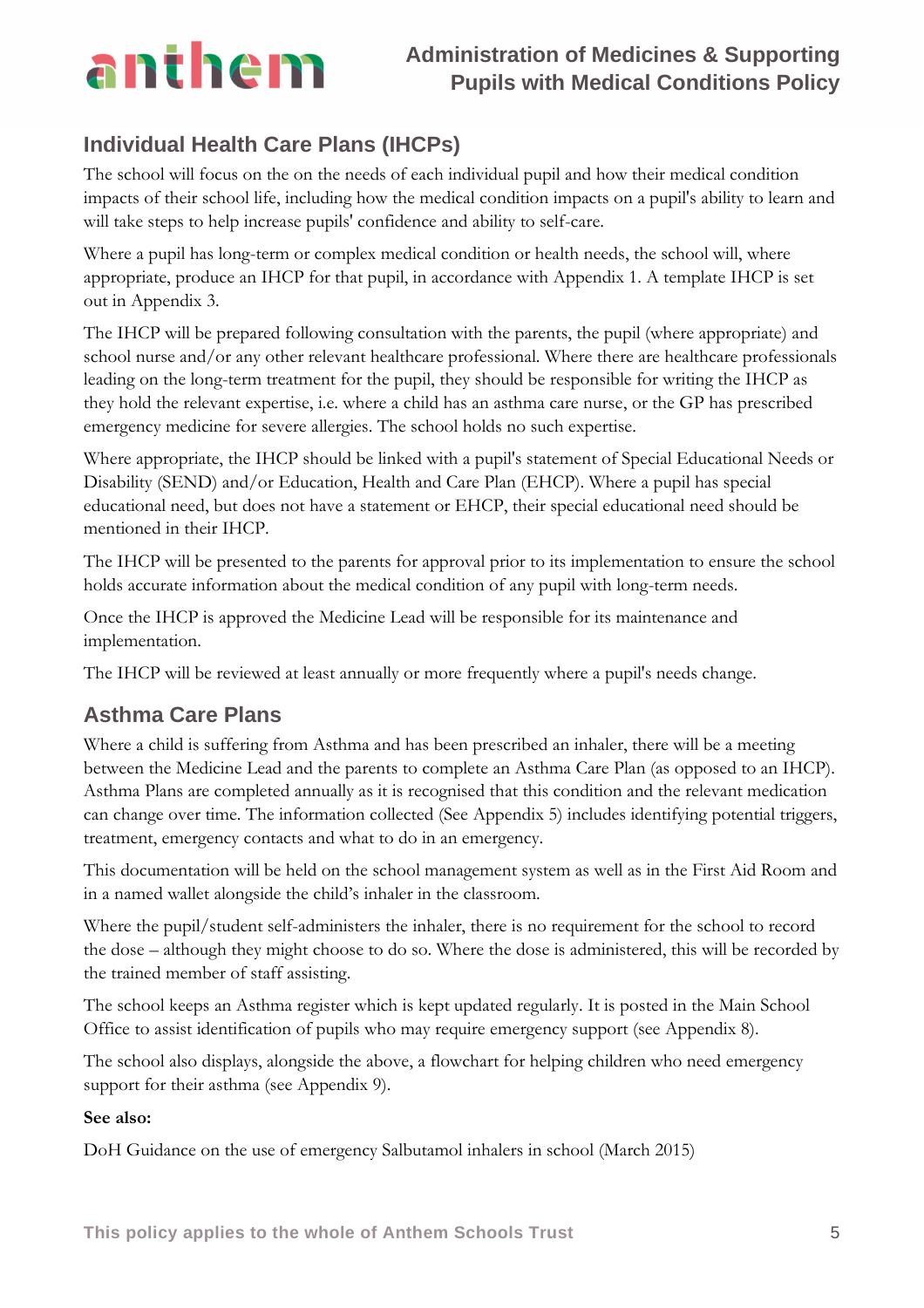

## **Individual Health Care Plans (IHCPs)**

The school will focus on the on the needs of each individual pupil and how their medical condition impacts of their school life, including how the medical condition impacts on a pupil's ability to learn and will take steps to help increase pupils' confidence and ability to self-care.

Where a pupil has long-term or complex medical condition or health needs, the school will, where appropriate, produce an IHCP for that pupil, in accordance with Appendix 1. A template IHCP is set out in Appendix 3.

The IHCP will be prepared following consultation with the parents, the pupil (where appropriate) and school nurse and/or any other relevant healthcare professional. Where there are healthcare professionals leading on the long-term treatment for the pupil, they should be responsible for writing the IHCP as they hold the relevant expertise, i.e. where a child has an asthma care nurse, or the GP has prescribed emergency medicine for severe allergies. The school holds no such expertise.

Where appropriate, the IHCP should be linked with a pupil's statement of Special Educational Needs or Disability (SEND) and/or Education, Health and Care Plan (EHCP). Where a pupil has special educational need, but does not have a statement or EHCP, their special educational need should be mentioned in their IHCP.

The IHCP will be presented to the parents for approval prior to its implementation to ensure the school holds accurate information about the medical condition of any pupil with long-term needs.

Once the IHCP is approved the Medicine Lead will be responsible for its maintenance and implementation.

The IHCP will be reviewed at least annually or more frequently where a pupil's needs change.

## **Asthma Care Plans**

Where a child is suffering from Asthma and has been prescribed an inhaler, there will be a meeting between the Medicine Lead and the parents to complete an Asthma Care Plan (as opposed to an IHCP). Asthma Plans are completed annually as it is recognised that this condition and the relevant medication can change over time. The information collected (See Appendix 5) includes identifying potential triggers, treatment, emergency contacts and what to do in an emergency.

This documentation will be held on the school management system as well as in the First Aid Room and in a named wallet alongside the child's inhaler in the classroom.

Where the pupil/student self-administers the inhaler, there is no requirement for the school to record the dose – although they might choose to do so. Where the dose is administered, this will be recorded by the trained member of staff assisting.

The school keeps an Asthma register which is kept updated regularly. It is posted in the Main School Office to assist identification of pupils who may require emergency support (see Appendix 8).

The school also displays, alongside the above, a flowchart for helping children who need emergency support for their asthma (see Appendix 9).

#### **See also:**

DoH Guidance on the use of emergency Salbutamol inhalers in school (March 2015)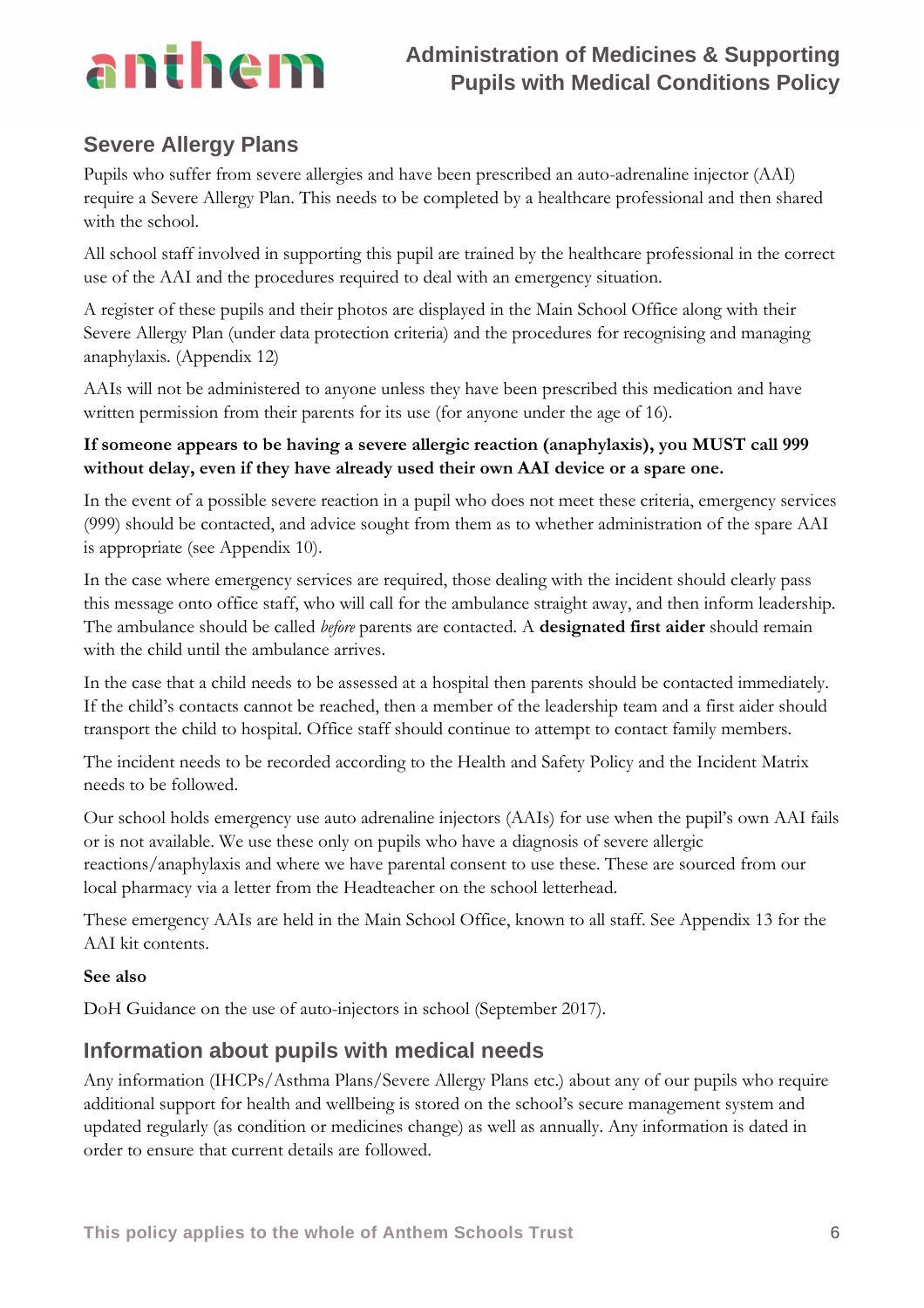# **Administration of Medicines & Supporting Pupils with Medical Conditions Policy**

## **Severe Allergy Plans**

Pupils who suffer from severe allergies and have been prescribed an auto-adrenaline injector (AAI) require a Severe Allergy Plan. This needs to be completed by a healthcare professional and then shared with the school.

All school staff involved in supporting this pupil are trained by the healthcare professional in the correct use of the AAI and the procedures required to deal with an emergency situation.

A register of these pupils and their photos are displayed in the Main School Office along with their Severe Allergy Plan (under data protection criteria) and the procedures for recognising and managing anaphylaxis. (Appendix 12)

AAIs will not be administered to anyone unless they have been prescribed this medication and have written permission from their parents for its use (for anyone under the age of 16).

#### **If someone appears to be having a severe allergic reaction (anaphylaxis), you MUST call 999 without delay, even if they have already used their own AAI device or a spare one.**

In the event of a possible severe reaction in a pupil who does not meet these criteria, emergency services (999) should be contacted, and advice sought from them as to whether administration of the spare AAI is appropriate (see Appendix 10).

In the case where emergency services are required, those dealing with the incident should clearly pass this message onto office staff, who will call for the ambulance straight away, and then inform leadership. The ambulance should be called *before* parents are contacted. A **designated first aider** should remain with the child until the ambulance arrives.

In the case that a child needs to be assessed at a hospital then parents should be contacted immediately. If the child's contacts cannot be reached, then a member of the leadership team and a first aider should transport the child to hospital. Office staff should continue to attempt to contact family members.

The incident needs to be recorded according to the Health and Safety Policy and the Incident Matrix needs to be followed.

Our school holds emergency use auto adrenaline injectors (AAIs) for use when the pupil's own AAI fails or is not available. We use these only on pupils who have a diagnosis of severe allergic reactions/anaphylaxis and where we have parental consent to use these. These are sourced from our local pharmacy via a letter from the Headteacher on the school letterhead.

These emergency AAIs are held in the Main School Office, known to all staff. See Appendix 13 for the AAI kit contents.

#### **See also**

DoH Guidance on the use of auto-injectors in school (September 2017).

## **Information about pupils with medical needs**

Any information (IHCPs/Asthma Plans/Severe Allergy Plans etc.) about any of our pupils who require additional support for health and wellbeing is stored on the school's secure management system and updated regularly (as condition or medicines change) as well as annually. Any information is dated in order to ensure that current details are followed.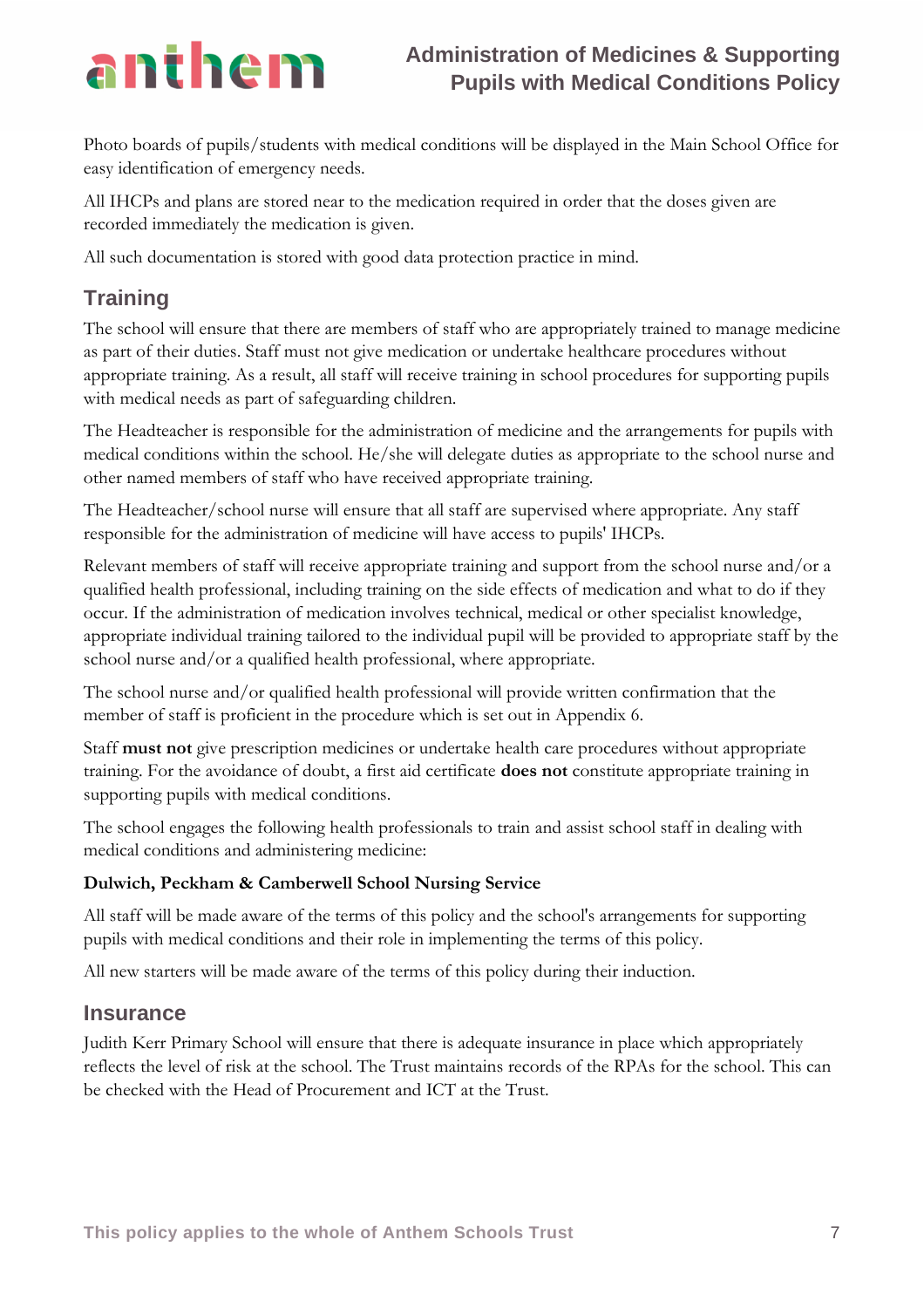# **Administration of Medicines & Supporting Pupils with Medical Conditions Policy**

Photo boards of pupils/students with medical conditions will be displayed in the Main School Office for easy identification of emergency needs.

All IHCPs and plans are stored near to the medication required in order that the doses given are recorded immediately the medication is given.

All such documentation is stored with good data protection practice in mind.

# **Training**

The school will ensure that there are members of staff who are appropriately trained to manage medicine as part of their duties. Staff must not give medication or undertake healthcare procedures without appropriate training. As a result, all staff will receive training in school procedures for supporting pupils with medical needs as part of safeguarding children.

The Headteacher is responsible for the administration of medicine and the arrangements for pupils with medical conditions within the school. He/she will delegate duties as appropriate to the school nurse and other named members of staff who have received appropriate training.

The Headteacher/school nurse will ensure that all staff are supervised where appropriate. Any staff responsible for the administration of medicine will have access to pupils' IHCPs.

Relevant members of staff will receive appropriate training and support from the school nurse and/or a qualified health professional, including training on the side effects of medication and what to do if they occur. If the administration of medication involves technical, medical or other specialist knowledge, appropriate individual training tailored to the individual pupil will be provided to appropriate staff by the school nurse and/or a qualified health professional, where appropriate.

The school nurse and/or qualified health professional will provide written confirmation that the member of staff is proficient in the procedure which is set out in Appendix 6.

Staff **must not** give prescription medicines or undertake health care procedures without appropriate training. For the avoidance of doubt, a first aid certificate **does not** constitute appropriate training in supporting pupils with medical conditions.

The school engages the following health professionals to train and assist school staff in dealing with medical conditions and administering medicine:

#### **Dulwich, Peckham & Camberwell School Nursing Service**

All staff will be made aware of the terms of this policy and the school's arrangements for supporting pupils with medical conditions and their role in implementing the terms of this policy.

All new starters will be made aware of the terms of this policy during their induction.

## **Insurance**

Judith Kerr Primary School will ensure that there is adequate insurance in place which appropriately reflects the level of risk at the school. The Trust maintains records of the RPAs for the school. This can be checked with the Head of Procurement and ICT at the Trust.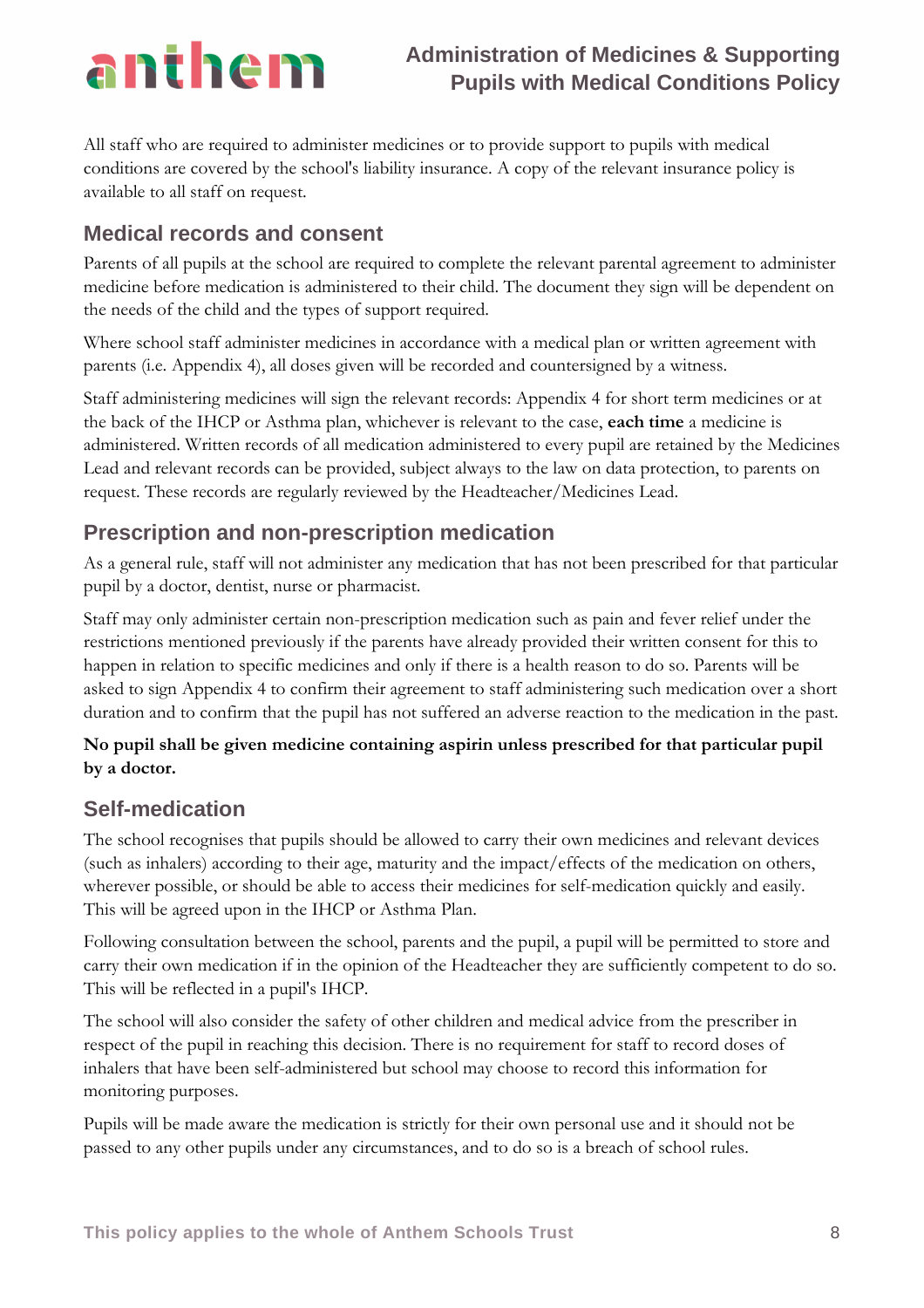# **Administration of Medicines & Supporting Pupils with Medical Conditions Policy**

All staff who are required to administer medicines or to provide support to pupils with medical conditions are covered by the school's liability insurance. A copy of the relevant insurance policy is available to all staff on request.

## **Medical records and consent**

Parents of all pupils at the school are required to complete the relevant parental agreement to administer medicine before medication is administered to their child. The document they sign will be dependent on the needs of the child and the types of support required.

Where school staff administer medicines in accordance with a medical plan or written agreement with parents (i.e. Appendix 4), all doses given will be recorded and countersigned by a witness.

Staff administering medicines will sign the relevant records: Appendix 4 for short term medicines or at the back of the IHCP or Asthma plan, whichever is relevant to the case, **each time** a medicine is administered. Written records of all medication administered to every pupil are retained by the Medicines Lead and relevant records can be provided, subject always to the law on data protection, to parents on request. These records are regularly reviewed by the Headteacher/Medicines Lead.

# **Prescription and non-prescription medication**

As a general rule, staff will not administer any medication that has not been prescribed for that particular pupil by a doctor, dentist, nurse or pharmacist.

Staff may only administer certain non-prescription medication such as pain and fever relief under the restrictions mentioned previously if the parents have already provided their written consent for this to happen in relation to specific medicines and only if there is a health reason to do so. Parents will be asked to sign Appendix 4 to confirm their agreement to staff administering such medication over a short duration and to confirm that the pupil has not suffered an adverse reaction to the medication in the past.

#### **No pupil shall be given medicine containing aspirin unless prescribed for that particular pupil by a doctor.**

## **Self-medication**

The school recognises that pupils should be allowed to carry their own medicines and relevant devices (such as inhalers) according to their age, maturity and the impact/effects of the medication on others, wherever possible, or should be able to access their medicines for self-medication quickly and easily. This will be agreed upon in the IHCP or Asthma Plan.

Following consultation between the school, parents and the pupil, a pupil will be permitted to store and carry their own medication if in the opinion of the Headteacher they are sufficiently competent to do so. This will be reflected in a pupil's IHCP.

The school will also consider the safety of other children and medical advice from the prescriber in respect of the pupil in reaching this decision. There is no requirement for staff to record doses of inhalers that have been self-administered but school may choose to record this information for monitoring purposes.

Pupils will be made aware the medication is strictly for their own personal use and it should not be passed to any other pupils under any circumstances, and to do so is a breach of school rules.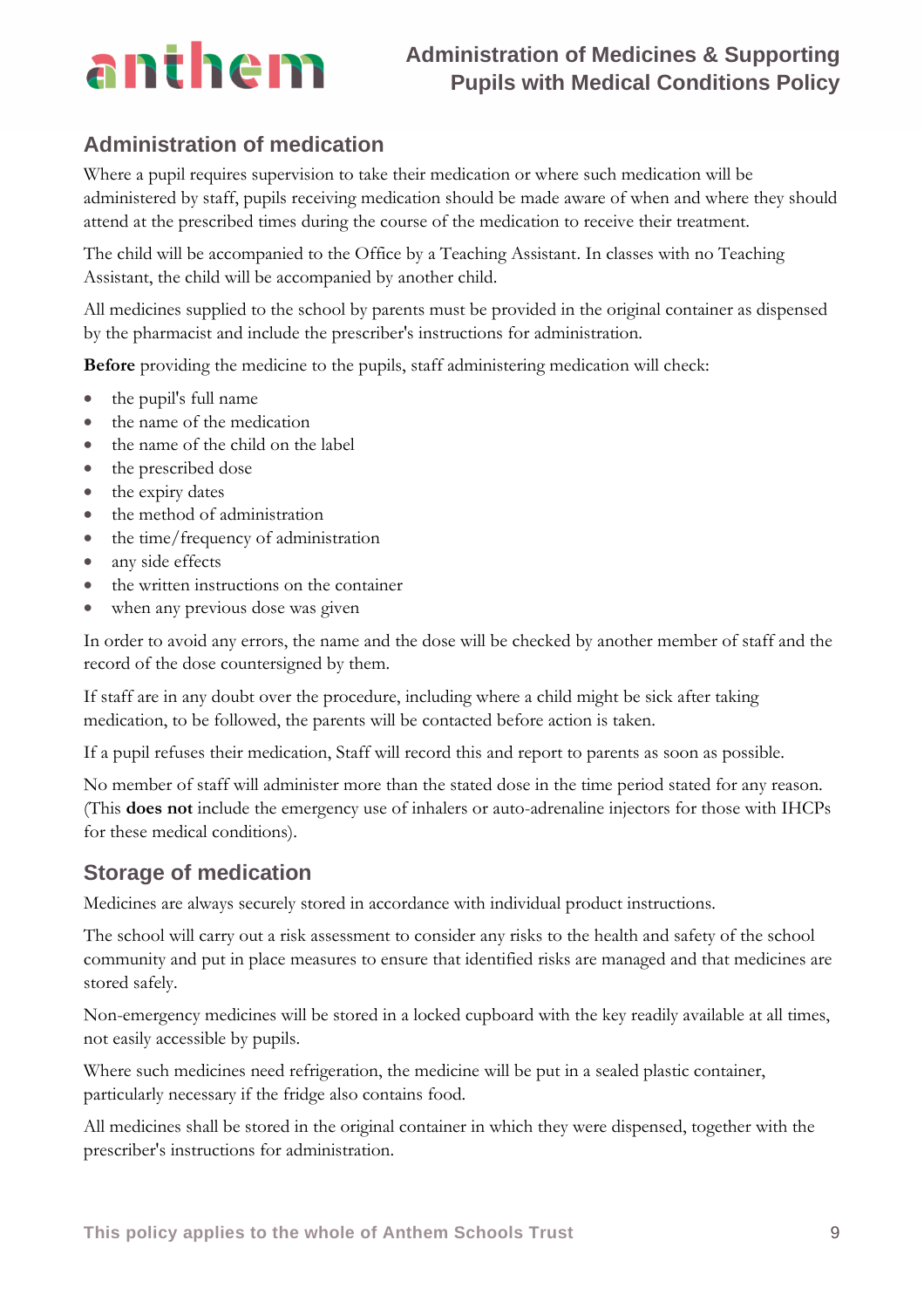# **Administration of Medicines & Supporting Pupils with Medical Conditions Policy**

## **Administration of medication**

Where a pupil requires supervision to take their medication or where such medication will be administered by staff, pupils receiving medication should be made aware of when and where they should attend at the prescribed times during the course of the medication to receive their treatment.

The child will be accompanied to the Office by a Teaching Assistant. In classes with no Teaching Assistant, the child will be accompanied by another child.

All medicines supplied to the school by parents must be provided in the original container as dispensed by the pharmacist and include the prescriber's instructions for administration.

**Before** providing the medicine to the pupils, staff administering medication will check:

- the pupil's full name
- the name of the medication
- the name of the child on the label
- the prescribed dose
- the expiry dates
- the method of administration
- the time/frequency of administration
- any side effects
- the written instructions on the container
- when any previous dose was given

In order to avoid any errors, the name and the dose will be checked by another member of staff and the record of the dose countersigned by them.

If staff are in any doubt over the procedure, including where a child might be sick after taking medication, to be followed, the parents will be contacted before action is taken.

If a pupil refuses their medication, Staff will record this and report to parents as soon as possible.

No member of staff will administer more than the stated dose in the time period stated for any reason. (This **does not** include the emergency use of inhalers or auto-adrenaline injectors for those with IHCPs for these medical conditions).

#### **Storage of medication**

Medicines are always securely stored in accordance with individual product instructions.

The school will carry out a risk assessment to consider any risks to the health and safety of the school community and put in place measures to ensure that identified risks are managed and that medicines are stored safely.

Non-emergency medicines will be stored in a locked cupboard with the key readily available at all times, not easily accessible by pupils.

Where such medicines need refrigeration, the medicine will be put in a sealed plastic container, particularly necessary if the fridge also contains food.

All medicines shall be stored in the original container in which they were dispensed, together with the prescriber's instructions for administration.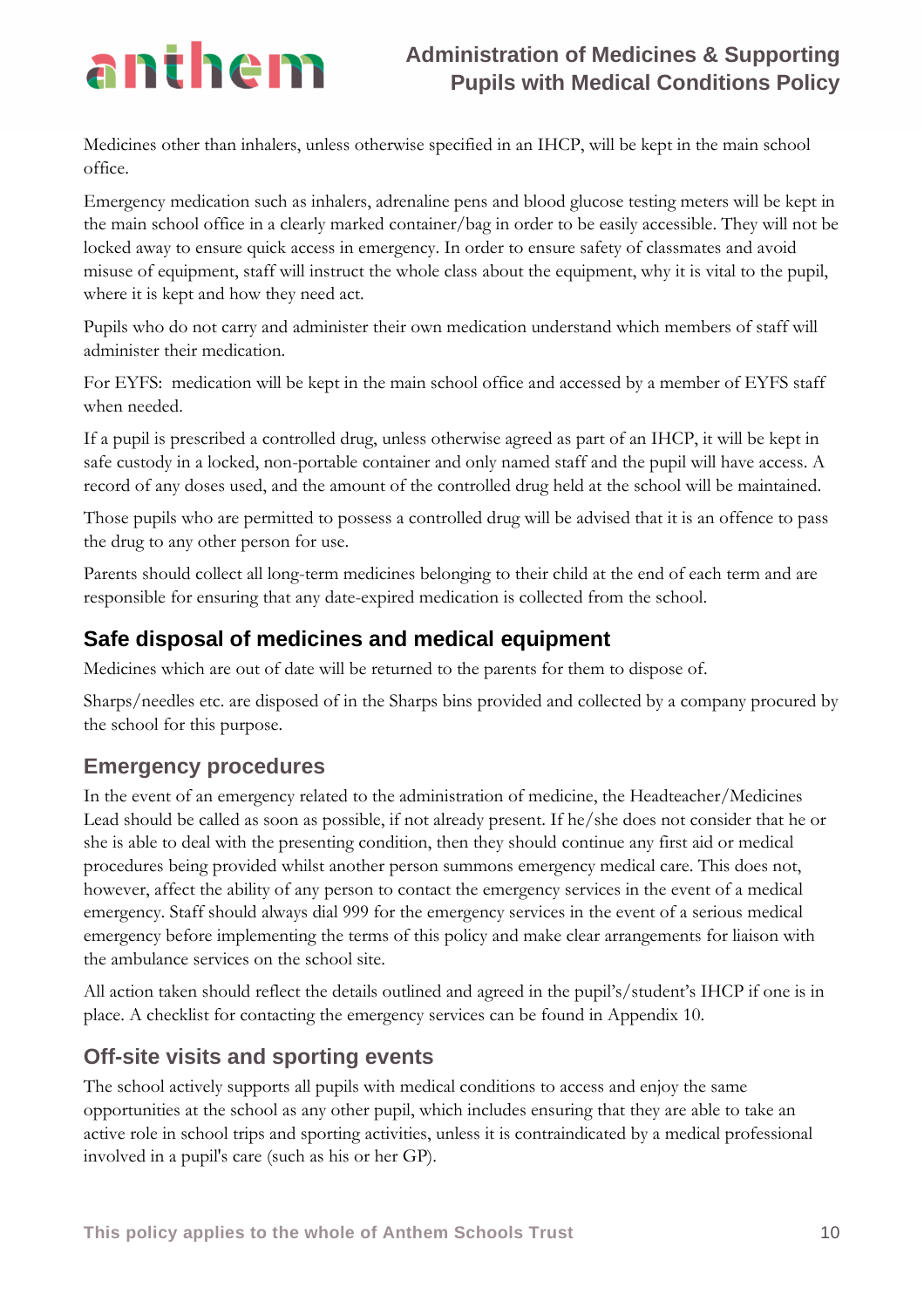# **Administration of Medicines & Supporting Pupils with Medical Conditions Policy**

Medicines other than inhalers, unless otherwise specified in an IHCP, will be kept in the main school office.

Emergency medication such as inhalers, adrenaline pens and blood glucose testing meters will be kept in the main school office in a clearly marked container/bag in order to be easily accessible. They will not be locked away to ensure quick access in emergency. In order to ensure safety of classmates and avoid misuse of equipment, staff will instruct the whole class about the equipment, why it is vital to the pupil, where it is kept and how they need act.

Pupils who do not carry and administer their own medication understand which members of staff will administer their medication.

For EYFS: medication will be kept in the main school office and accessed by a member of EYFS staff when needed.

If a pupil is prescribed a controlled drug, unless otherwise agreed as part of an IHCP, it will be kept in safe custody in a locked, non-portable container and only named staff and the pupil will have access. A record of any doses used, and the amount of the controlled drug held at the school will be maintained.

Those pupils who are permitted to possess a controlled drug will be advised that it is an offence to pass the drug to any other person for use.

Parents should collect all long-term medicines belonging to their child at the end of each term and are responsible for ensuring that any date-expired medication is collected from the school.

## **Safe disposal of medicines and medical equipment**

Medicines which are out of date will be returned to the parents for them to dispose of.

Sharps/needles etc. are disposed of in the Sharps bins provided and collected by a company procured by the school for this purpose.

## **Emergency procedures**

In the event of an emergency related to the administration of medicine, the Headteacher/Medicines Lead should be called as soon as possible, if not already present. If he/she does not consider that he or she is able to deal with the presenting condition, then they should continue any first aid or medical procedures being provided whilst another person summons emergency medical care. This does not, however, affect the ability of any person to contact the emergency services in the event of a medical emergency. Staff should always dial 999 for the emergency services in the event of a serious medical emergency before implementing the terms of this policy and make clear arrangements for liaison with the ambulance services on the school site.

All action taken should reflect the details outlined and agreed in the pupil's/student's IHCP if one is in place. A checklist for contacting the emergency services can be found in Appendix 10.

# **Off-site visits and sporting events**

The school actively supports all pupils with medical conditions to access and enjoy the same opportunities at the school as any other pupil, which includes ensuring that they are able to take an active role in school trips and sporting activities, unless it is contraindicated by a medical professional involved in a pupil's care (such as his or her GP).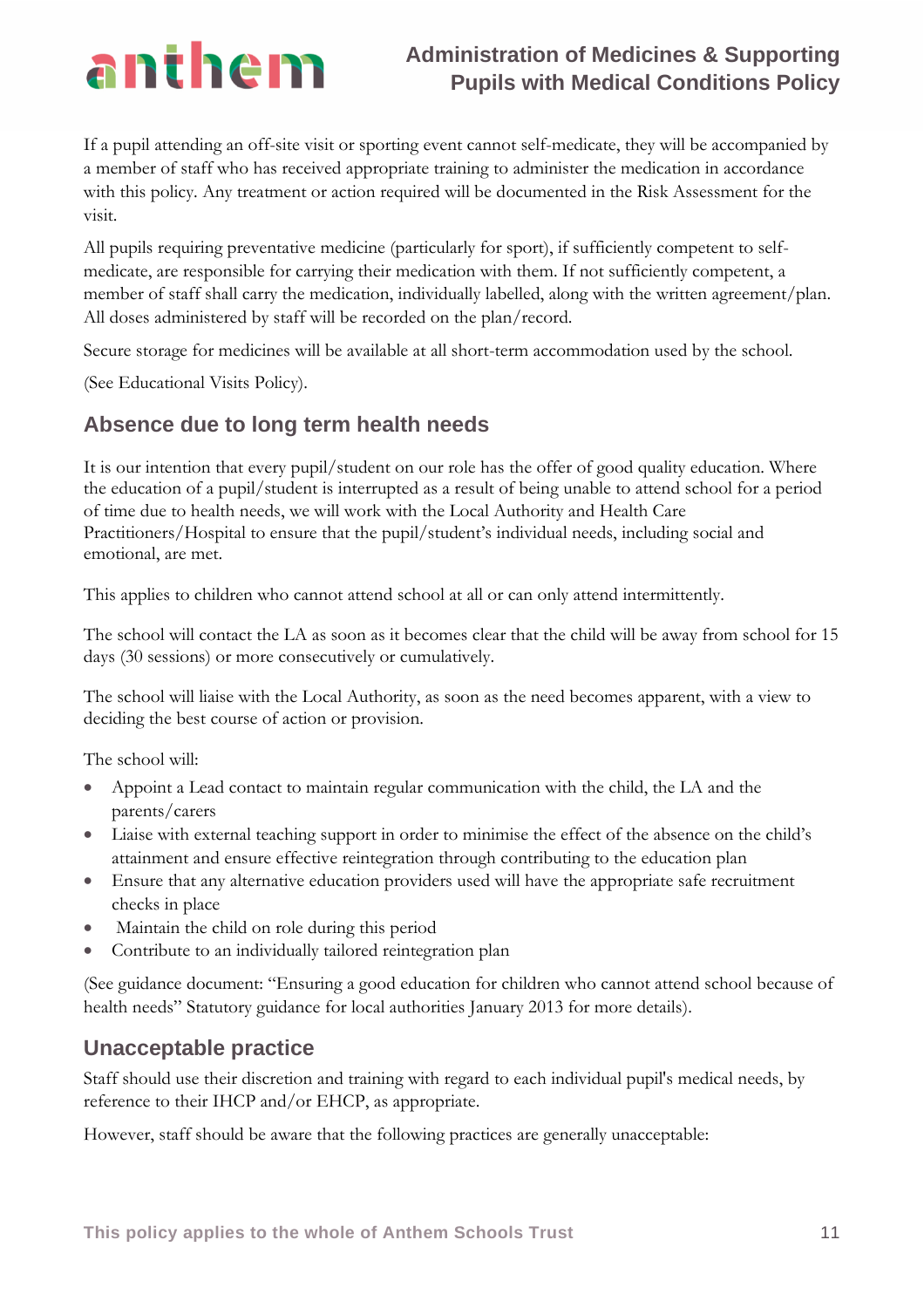# **Administration of Medicines & Supporting Pupils with Medical Conditions Policy**

If a pupil attending an off-site visit or sporting event cannot self-medicate, they will be accompanied by a member of staff who has received appropriate training to administer the medication in accordance with this policy. Any treatment or action required will be documented in the Risk Assessment for the visit.

All pupils requiring preventative medicine (particularly for sport), if sufficiently competent to selfmedicate, are responsible for carrying their medication with them. If not sufficiently competent, a member of staff shall carry the medication, individually labelled, along with the written agreement/plan. All doses administered by staff will be recorded on the plan/record.

Secure storage for medicines will be available at all short-term accommodation used by the school.

(See Educational Visits Policy).

### **Absence due to long term health needs**

It is our intention that every pupil/student on our role has the offer of good quality education. Where the education of a pupil/student is interrupted as a result of being unable to attend school for a period of time due to health needs, we will work with the Local Authority and Health Care Practitioners/Hospital to ensure that the pupil/student's individual needs, including social and emotional, are met.

This applies to children who cannot attend school at all or can only attend intermittently.

The school will contact the LA as soon as it becomes clear that the child will be away from school for 15 days (30 sessions) or more consecutively or cumulatively.

The school will liaise with the Local Authority, as soon as the need becomes apparent, with a view to deciding the best course of action or provision.

The school will:

- Appoint a Lead contact to maintain regular communication with the child, the LA and the parents/carers
- Liaise with external teaching support in order to minimise the effect of the absence on the child's attainment and ensure effective reintegration through contributing to the education plan
- Ensure that any alternative education providers used will have the appropriate safe recruitment checks in place
- Maintain the child on role during this period
- Contribute to an individually tailored reintegration plan

(See guidance document: "Ensuring a good education for children who cannot attend school because of health needs" Statutory guidance for local authorities January 2013 for more details).

## **Unacceptable practice**

Staff should use their discretion and training with regard to each individual pupil's medical needs, by reference to their IHCP and/or EHCP, as appropriate.

However, staff should be aware that the following practices are generally unacceptable: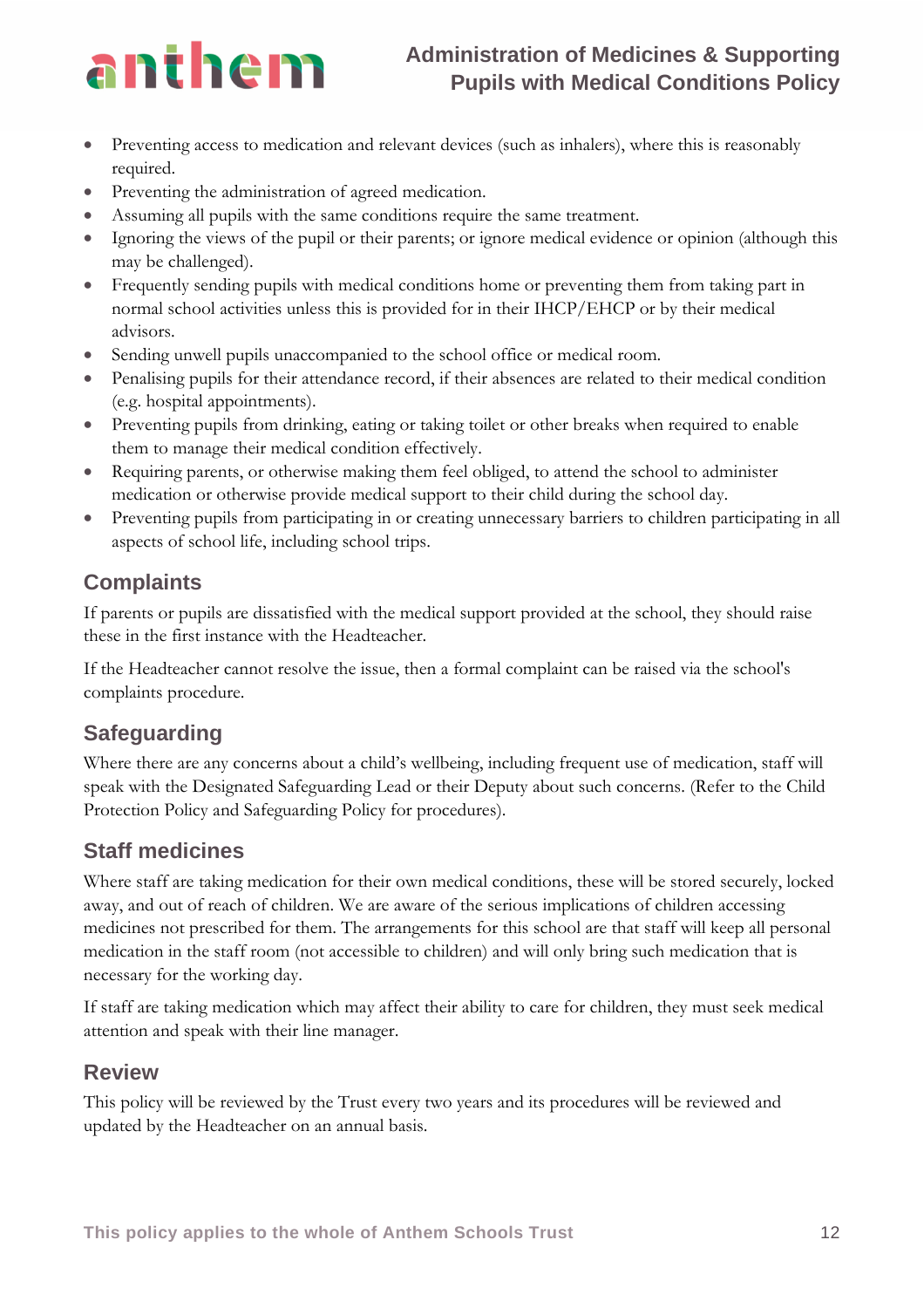# **Administration of Medicines & Supporting Pupils with Medical Conditions Policy**

- Preventing access to medication and relevant devices (such as inhalers), where this is reasonably required.
- Preventing the administration of agreed medication.
- Assuming all pupils with the same conditions require the same treatment.
- Ignoring the views of the pupil or their parents; or ignore medical evidence or opinion (although this may be challenged).
- Frequently sending pupils with medical conditions home or preventing them from taking part in normal school activities unless this is provided for in their IHCP/EHCP or by their medical advisors.
- Sending unwell pupils unaccompanied to the school office or medical room.
- Penalising pupils for their attendance record, if their absences are related to their medical condition (e.g. hospital appointments).
- Preventing pupils from drinking, eating or taking toilet or other breaks when required to enable them to manage their medical condition effectively.
- Requiring parents, or otherwise making them feel obliged, to attend the school to administer medication or otherwise provide medical support to their child during the school day.
- Preventing pupils from participating in or creating unnecessary barriers to children participating in all aspects of school life, including school trips.

# **Complaints**

If parents or pupils are dissatisfied with the medical support provided at the school, they should raise these in the first instance with the Headteacher.

If the Headteacher cannot resolve the issue, then a formal complaint can be raised via the school's complaints procedure.

# **Safeguarding**

Where there are any concerns about a child's wellbeing, including frequent use of medication, staff will speak with the Designated Safeguarding Lead or their Deputy about such concerns. (Refer to the Child Protection Policy and Safeguarding Policy for procedures).

## **Staff medicines**

Where staff are taking medication for their own medical conditions, these will be stored securely, locked away, and out of reach of children. We are aware of the serious implications of children accessing medicines not prescribed for them. The arrangements for this school are that staff will keep all personal medication in the staff room (not accessible to children) and will only bring such medication that is necessary for the working day.

If staff are taking medication which may affect their ability to care for children, they must seek medical attention and speak with their line manager.

## **Review**

This policy will be reviewed by the Trust every two years and its procedures will be reviewed and updated by the Headteacher on an annual basis.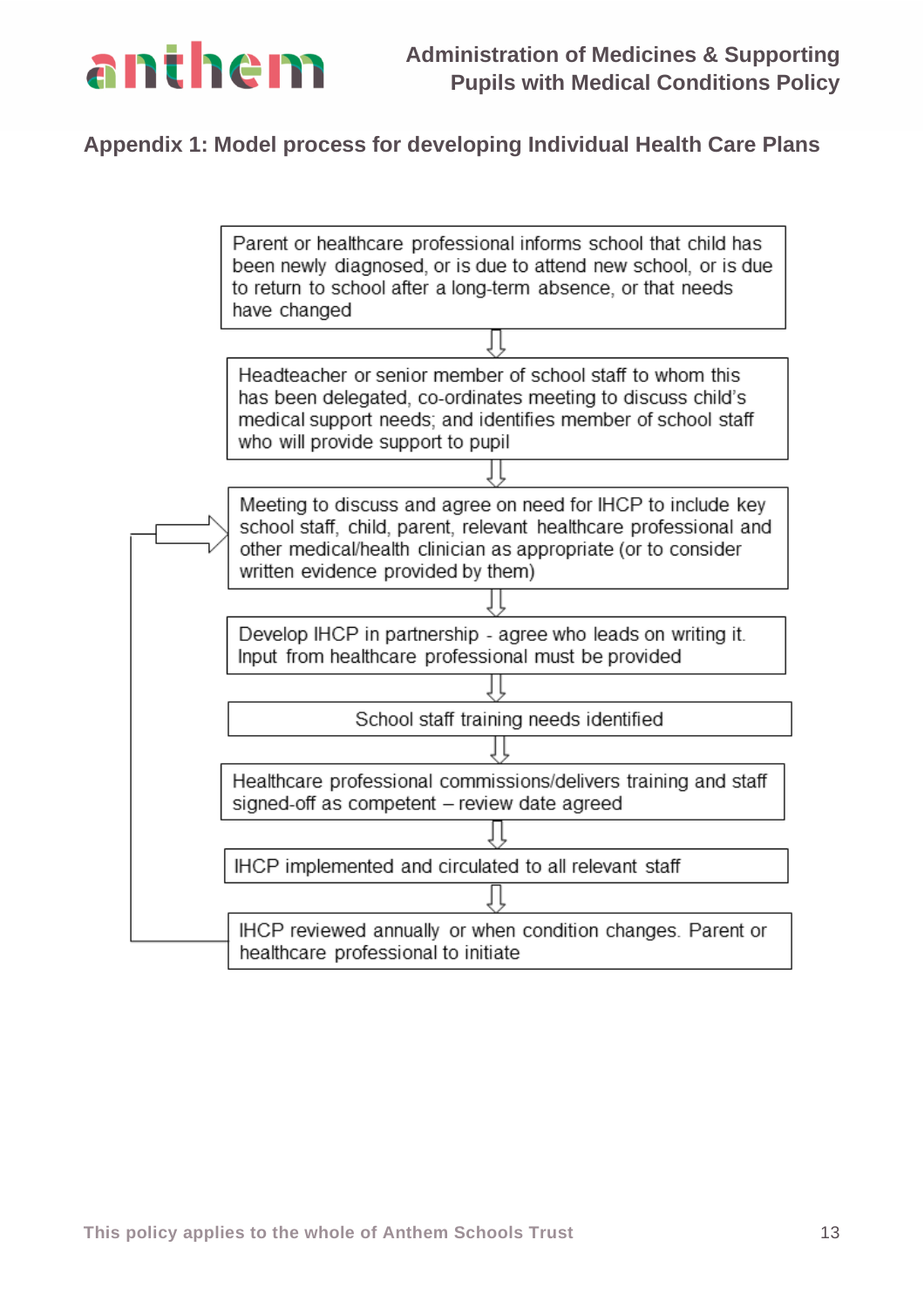

### **Appendix 1: Model process for developing Individual Health Care Plans**

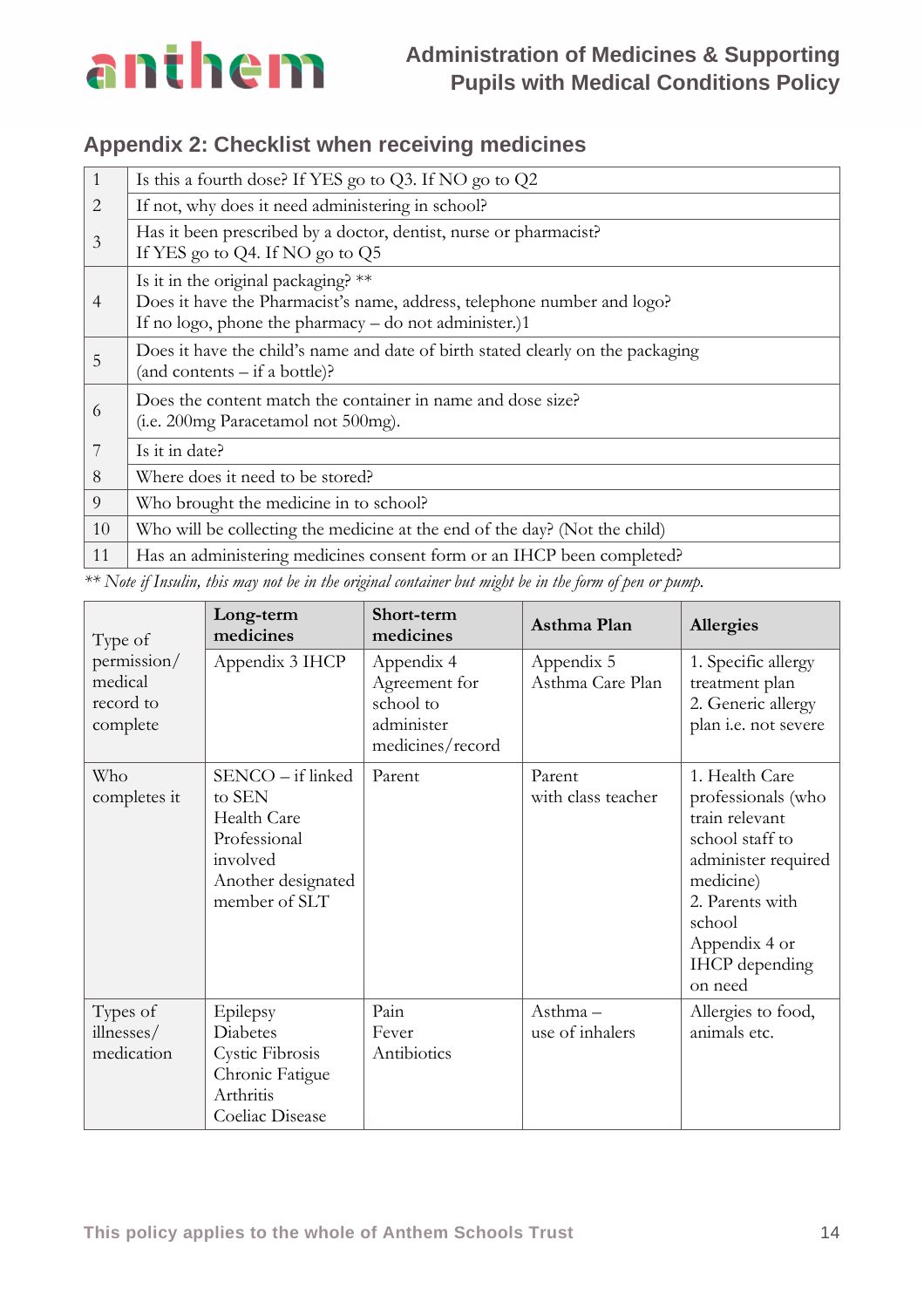# **Administration of Medicines & Supporting Pupils with Medical Conditions Policy**

## **Appendix 2: Checklist when receiving medicines**

| $\mathbf{1}$   | Is this a fourth dose? If YES go to Q3. If NO go to Q2                                                                                                                    |
|----------------|---------------------------------------------------------------------------------------------------------------------------------------------------------------------------|
| $\overline{2}$ | If not, why does it need administering in school?                                                                                                                         |
| 3              | Has it been prescribed by a doctor, dentist, nurse or pharmacist?<br>If YES go to Q4. If NO go to Q5                                                                      |
| $\overline{4}$ | Is it in the original packaging? **<br>Does it have the Pharmacist's name, address, telephone number and logo?<br>If no logo, phone the pharmacy $-$ do not administer.)1 |
| 5              | Does it have the child's name and date of birth stated clearly on the packaging<br>(and contents $-$ if a bottle)?                                                        |
| 6              | Does the content match the container in name and dose size?<br>(i.e. 200mg Paracetamol not 500mg).                                                                        |
| 7              | Is it in date?                                                                                                                                                            |
| 8              | Where does it need to be stored?                                                                                                                                          |
| 9              | Who brought the medicine in to school?                                                                                                                                    |
| 10             | Who will be collecting the medicine at the end of the day? (Not the child)                                                                                                |
| 11             | Has an administering medicines consent form or an IHCP been completed?                                                                                                    |

*\*\* Note if Insulin, this may not be in the original container but might be in the form of pen or pump.* 

| Type of                                         | Long-term<br>medicines                                                                                        | Short-term<br>medicines                                                    | Asthma Plan                    | Allergies                                                                                                                                                                                       |
|-------------------------------------------------|---------------------------------------------------------------------------------------------------------------|----------------------------------------------------------------------------|--------------------------------|-------------------------------------------------------------------------------------------------------------------------------------------------------------------------------------------------|
| permission/<br>medical<br>record to<br>complete | Appendix 3 IHCP                                                                                               | Appendix 4<br>Agreement for<br>school to<br>administer<br>medicines/record | Appendix 5<br>Asthma Care Plan | 1. Specific allergy<br>treatment plan<br>2. Generic allergy<br>plan i.e. not severe                                                                                                             |
| Who<br>completes it                             | SENCO - if linked<br>to SEN<br>Health Care<br>Professional<br>involved<br>Another designated<br>member of SLT | Parent                                                                     | Parent<br>with class teacher   | 1. Health Care<br>professionals (who<br>train relevant<br>school staff to<br>administer required<br>medicine)<br>2. Parents with<br>school<br>Appendix 4 or<br><b>IHCP</b> depending<br>on need |
| Types of<br>illnesses/<br>medication            | Epilepsy<br>Diabetes<br>Cystic Fibrosis<br>Chronic Fatigue<br>Arthritis<br>Coeliac Disease                    | Pain<br>Fever<br>Antibiotics                                               | Asthma-<br>use of inhalers     | Allergies to food,<br>animals etc.                                                                                                                                                              |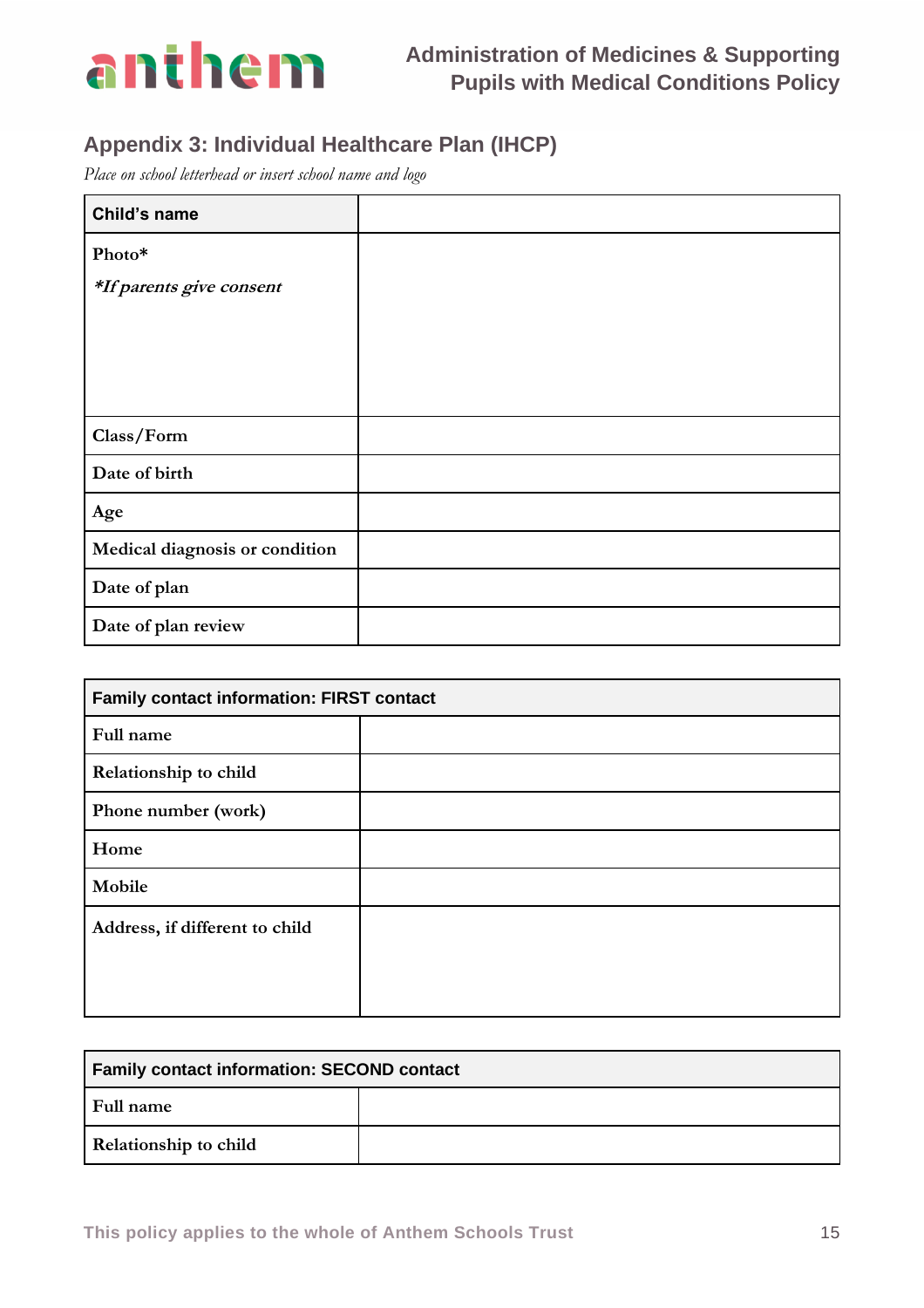

## **Appendix 3: Individual Healthcare Plan (IHCP)**

*Place on school letterhead or insert school name and logo*

| Child's name                   |  |
|--------------------------------|--|
| Photo*                         |  |
| *If parents give consent       |  |
|                                |  |
|                                |  |
|                                |  |
| Class/Form                     |  |
| Date of birth                  |  |
| Age                            |  |
| Medical diagnosis or condition |  |
| Date of plan                   |  |
| Date of plan review            |  |

| <b>Family contact information: FIRST contact</b> |  |  |
|--------------------------------------------------|--|--|
| Full name                                        |  |  |
| Relationship to child                            |  |  |
| Phone number (work)                              |  |  |
| Home                                             |  |  |
| Mobile                                           |  |  |
| Address, if different to child                   |  |  |
|                                                  |  |  |
|                                                  |  |  |

| <b>Family contact information: SECOND contact</b> |  |  |
|---------------------------------------------------|--|--|
| Full name                                         |  |  |
| Relationship to child                             |  |  |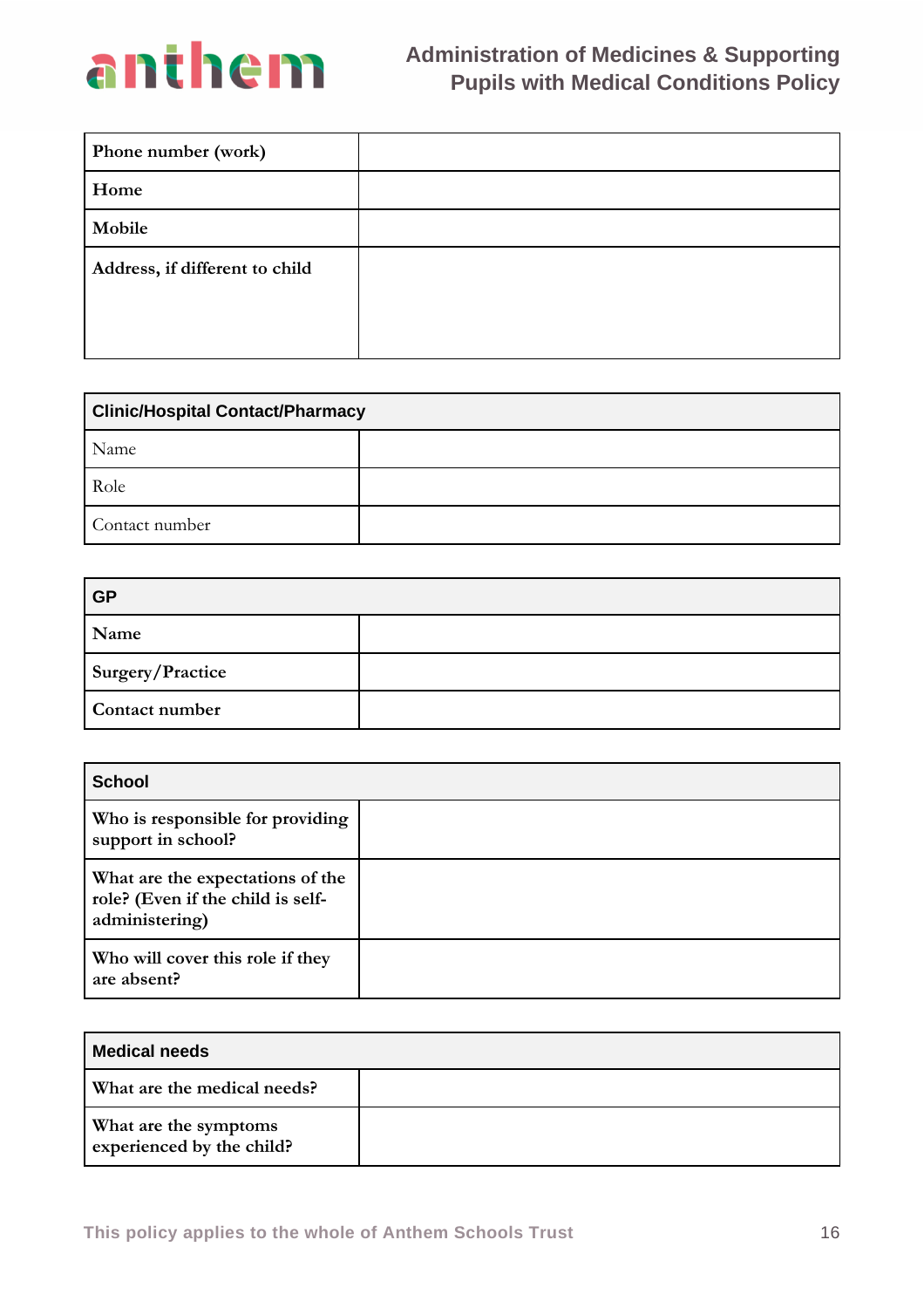

| Phone number (work)            |  |
|--------------------------------|--|
| Home                           |  |
| Mobile                         |  |
| Address, if different to child |  |

| <b>Clinic/Hospital Contact/Pharmacy</b> |  |  |
|-----------------------------------------|--|--|
| Name                                    |  |  |
| Role                                    |  |  |
| Contact number                          |  |  |

| <b>GP</b>             |  |
|-----------------------|--|
| Name                  |  |
| Surgery/Practice      |  |
| <b>Contact number</b> |  |

| <b>School</b>                                                                           |  |
|-----------------------------------------------------------------------------------------|--|
| Who is responsible for providing<br>support in school?                                  |  |
| What are the expectations of the<br>role? (Even if the child is self-<br>administering) |  |
| Who will cover this role if they<br>are absent?                                         |  |

| <b>Medical needs</b>                               |  |  |
|----------------------------------------------------|--|--|
| What are the medical needs?                        |  |  |
| What are the symptoms<br>experienced by the child? |  |  |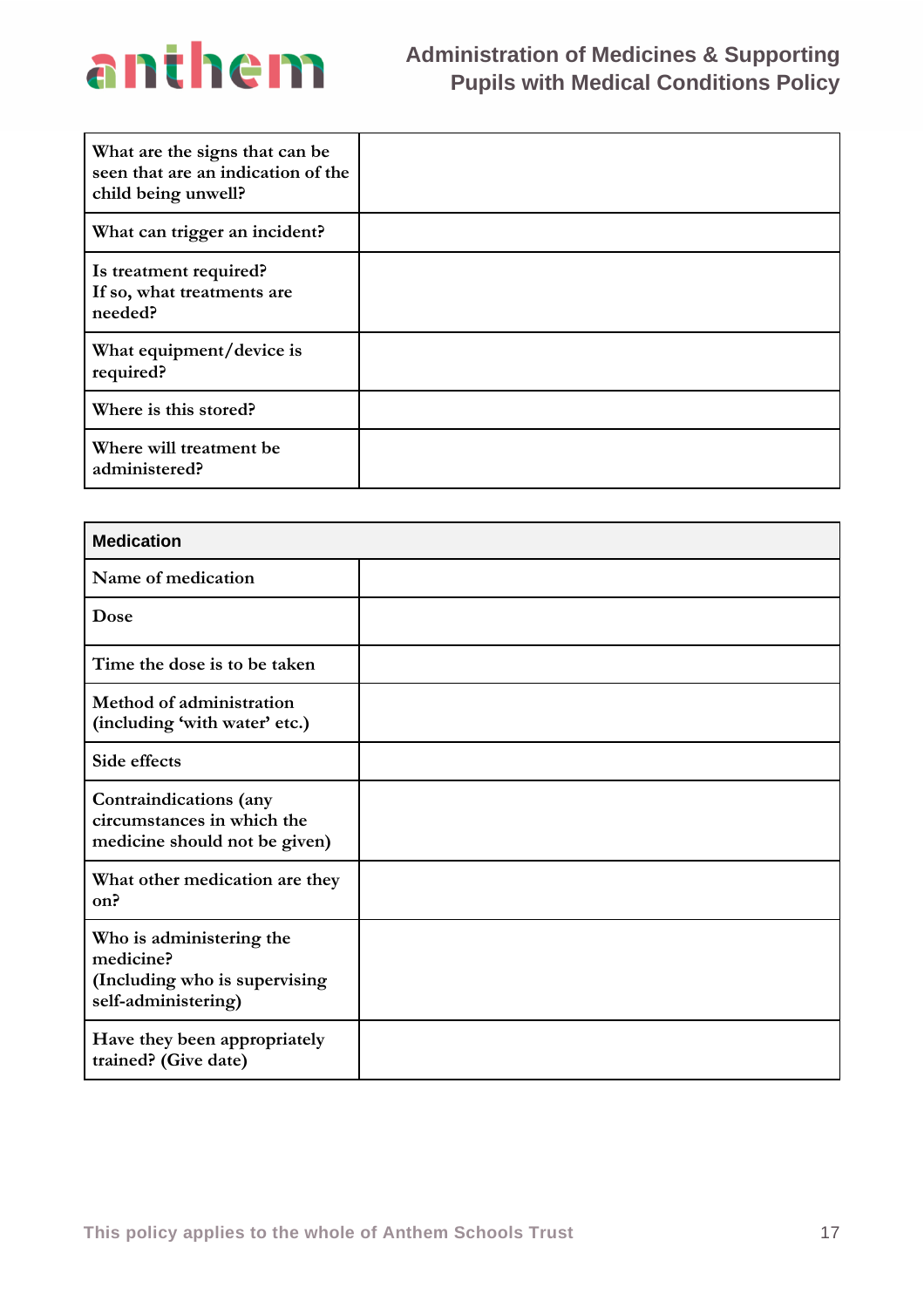

| What are the signs that can be<br>seen that are an indication of the<br>child being unwell? |  |
|---------------------------------------------------------------------------------------------|--|
| What can trigger an incident?                                                               |  |
| Is treatment required?<br>If so, what treatments are<br>needed?                             |  |
| What equipment/device is<br>required?                                                       |  |
| Where is this stored?                                                                       |  |
| Where will treatment be<br>administered?                                                    |  |

| <b>Medication</b>                                                                             |  |
|-----------------------------------------------------------------------------------------------|--|
| Name of medication                                                                            |  |
| Dose                                                                                          |  |
| Time the dose is to be taken                                                                  |  |
| Method of administration<br>(including 'with water' etc.)                                     |  |
| Side effects                                                                                  |  |
| Contraindications (any<br>circumstances in which the<br>medicine should not be given)         |  |
| What other medication are they<br>on?                                                         |  |
| Who is administering the<br>medicine?<br>(Including who is supervising<br>self-administering) |  |
| Have they been appropriately<br>trained? (Give date)                                          |  |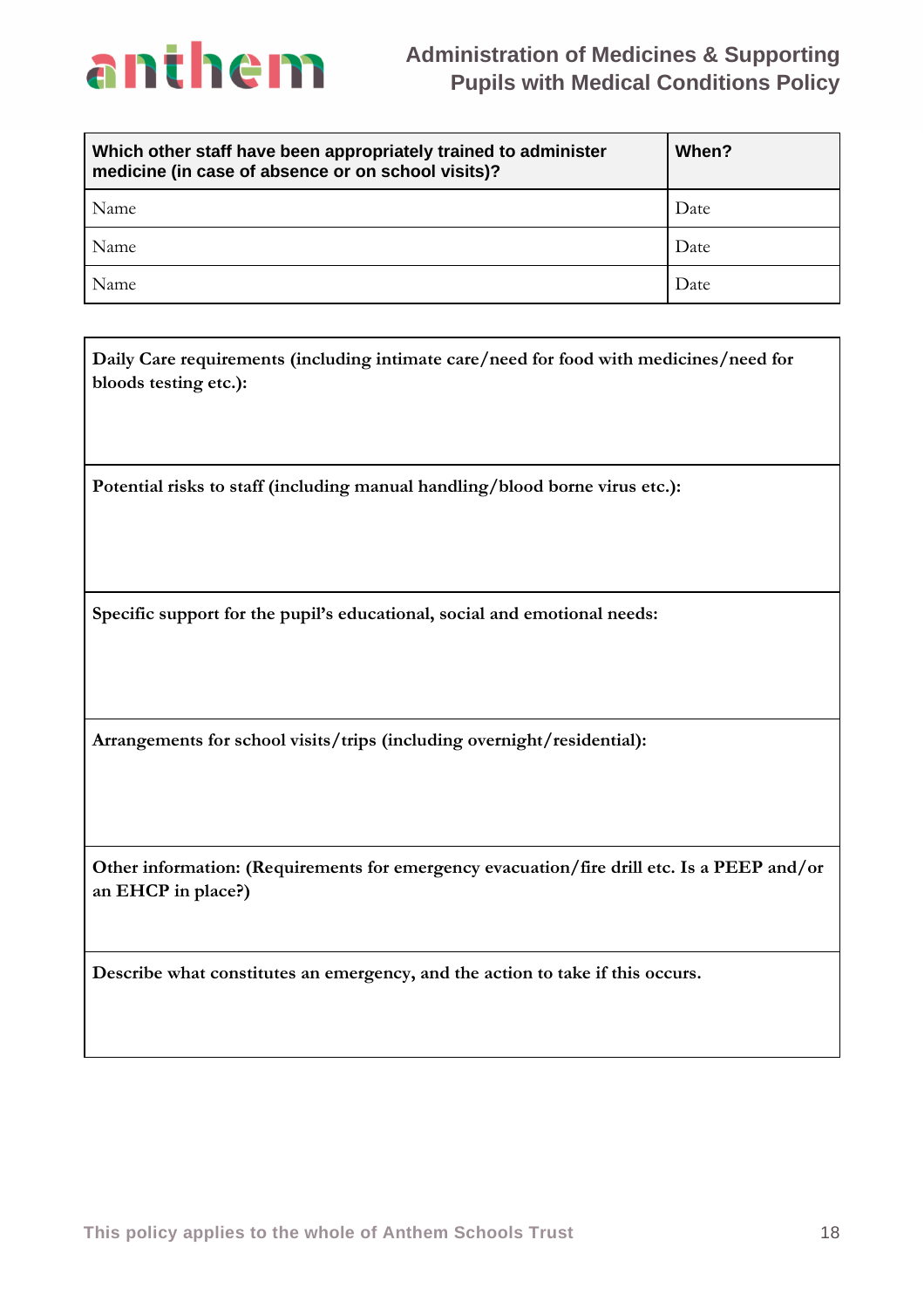

| Which other staff have been appropriately trained to administer<br>medicine (in case of absence or on school visits)? | When? |
|-----------------------------------------------------------------------------------------------------------------------|-------|
| Name                                                                                                                  | Date  |
| Name                                                                                                                  | Date  |
| Name                                                                                                                  | Date  |

**Daily Care requirements (including intimate care/need for food with medicines/need for bloods testing etc.):**

**Potential risks to staff (including manual handling/blood borne virus etc.):**

**Specific support for the pupil's educational, social and emotional needs:**

**Arrangements for school visits/trips (including overnight/residential):**

**Other information: (Requirements for emergency evacuation/fire drill etc. Is a PEEP and/or an EHCP in place?)**

**Describe what constitutes an emergency, and the action to take if this occurs.**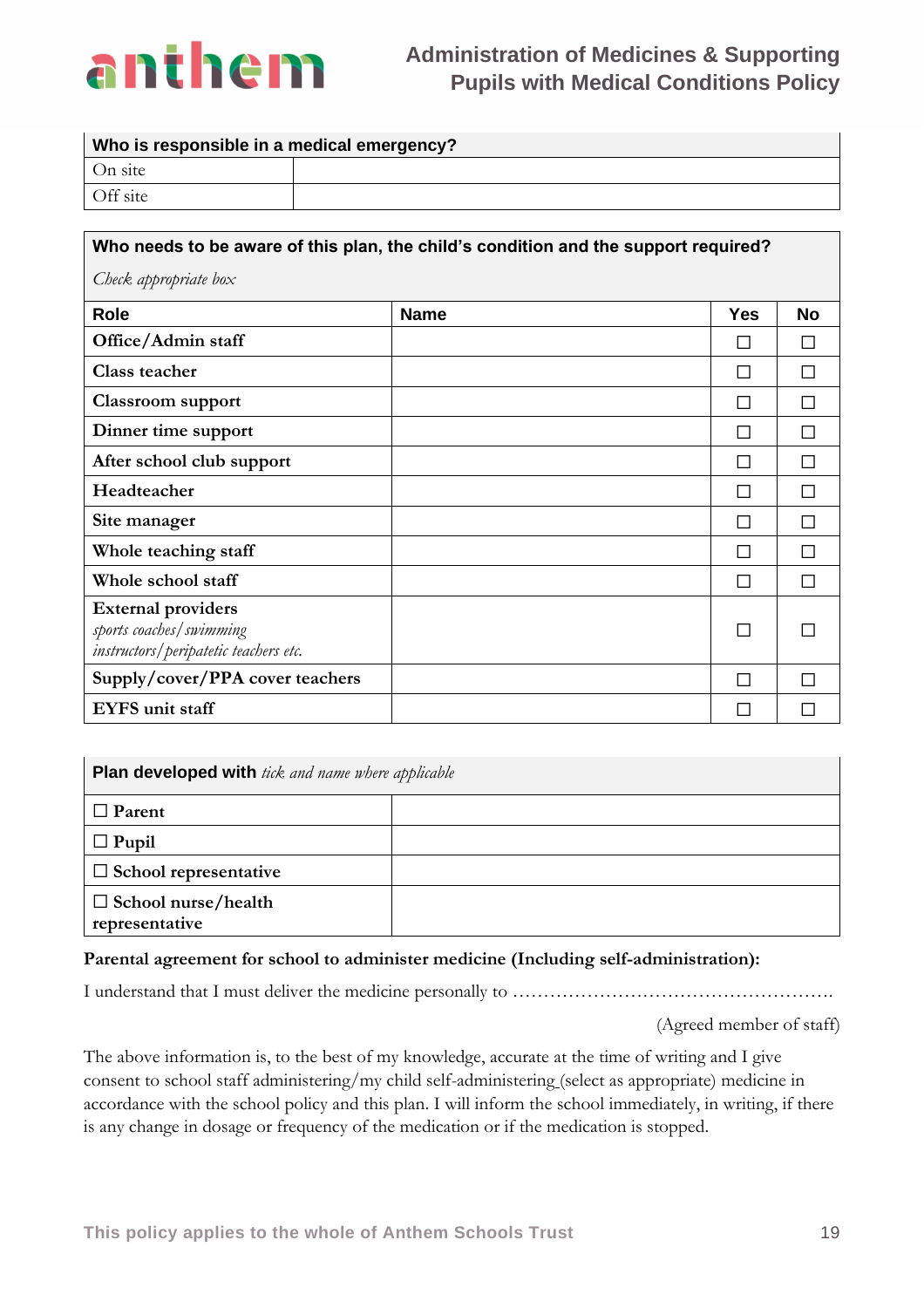

| Who is responsible in a medical emergency? |  |  |
|--------------------------------------------|--|--|
| On site                                    |  |  |
| Off site                                   |  |  |

#### **Who needs to be aware of this plan, the child's condition and the support required?**

*Check appropriate box*

| <b>Role</b>                                                                                   | <b>Name</b> | <b>Yes</b>   | <b>No</b> |
|-----------------------------------------------------------------------------------------------|-------------|--------------|-----------|
| Office/Admin staff                                                                            |             | $\mathsf{L}$ |           |
| Class teacher                                                                                 |             | H            |           |
| <b>Classroom support</b>                                                                      |             |              |           |
| Dinner time support                                                                           |             | П            |           |
| After school club support                                                                     |             | $\mathsf{L}$ |           |
| Headteacher                                                                                   |             | П            |           |
| Site manager                                                                                  |             | П            |           |
| Whole teaching staff                                                                          |             | ΙI           |           |
| Whole school staff                                                                            |             | $\mathsf{L}$ |           |
| <b>External providers</b><br>sports coaches/swimming<br>instructors/peripatetic teachers etc. |             | $\Box$       |           |
| Supply/cover/PPA cover teachers                                                               |             | П            |           |
| <b>EYFS</b> unit staff                                                                        |             |              |           |

| <b>Plan developed with</b> tick and name where applicable |  |  |
|-----------------------------------------------------------|--|--|
| $\Box$ Parent                                             |  |  |
| $\Box$ Pupil                                              |  |  |
| $\Box$ School representative                              |  |  |
| $\Box$ School nurse/health<br>representative              |  |  |

#### **Parental agreement for school to administer medicine (Including self-administration):**

I understand that I must deliver the medicine personally to …………………………………………….

(Agreed member of staff)

The above information is, to the best of my knowledge, accurate at the time of writing and I give consent to school staff administering/my child self-administering (select as appropriate) medicine in accordance with the school policy and this plan. I will inform the school immediately, in writing, if there is any change in dosage or frequency of the medication or if the medication is stopped.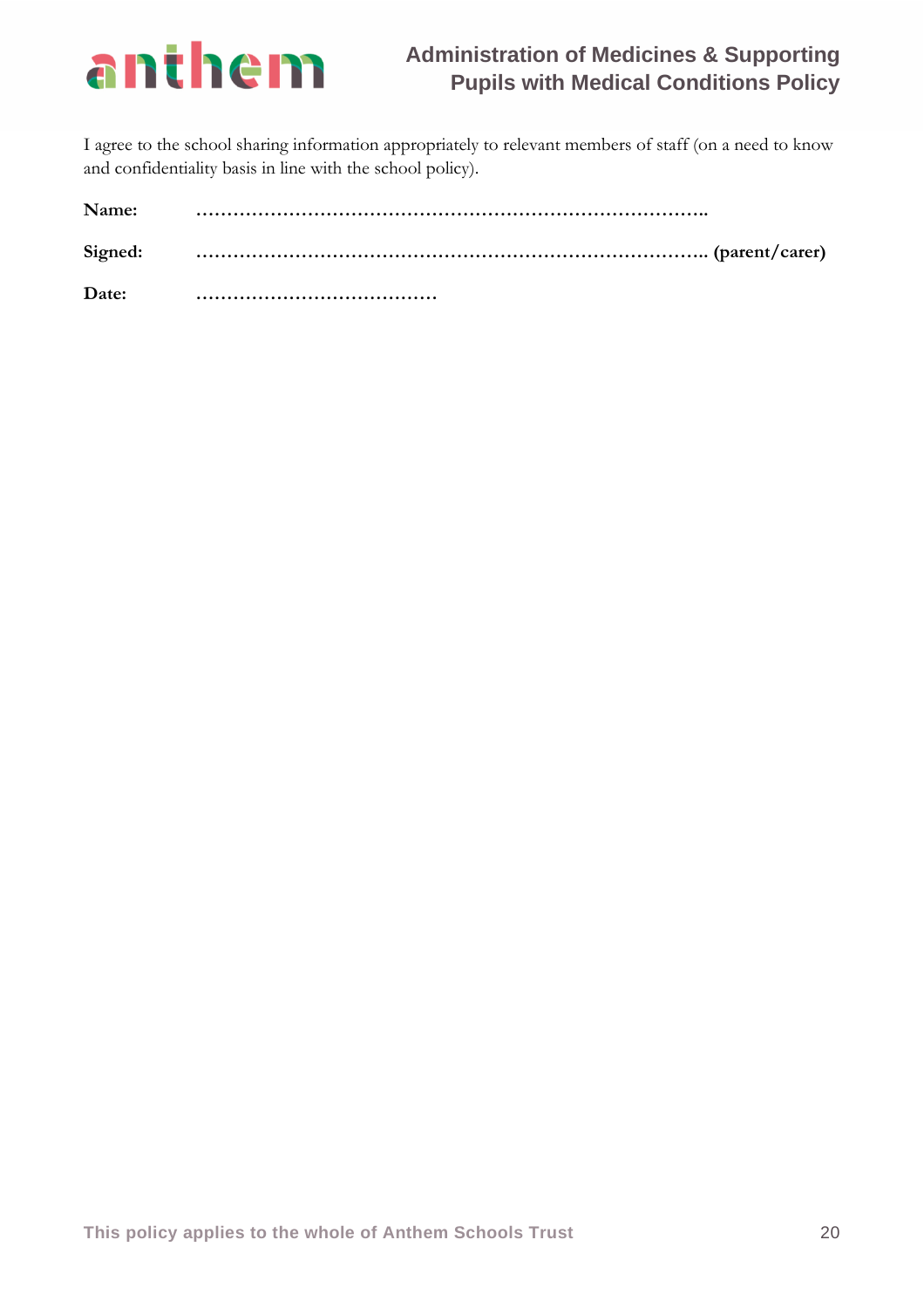# **Administration of Medicines & Supporting Pupils with Medical Conditions Policy**

I agree to the school sharing information appropriately to relevant members of staff (on a need to know and confidentiality basis in line with the school policy).

| Name:   |  |
|---------|--|
| Signed: |  |
| Date:   |  |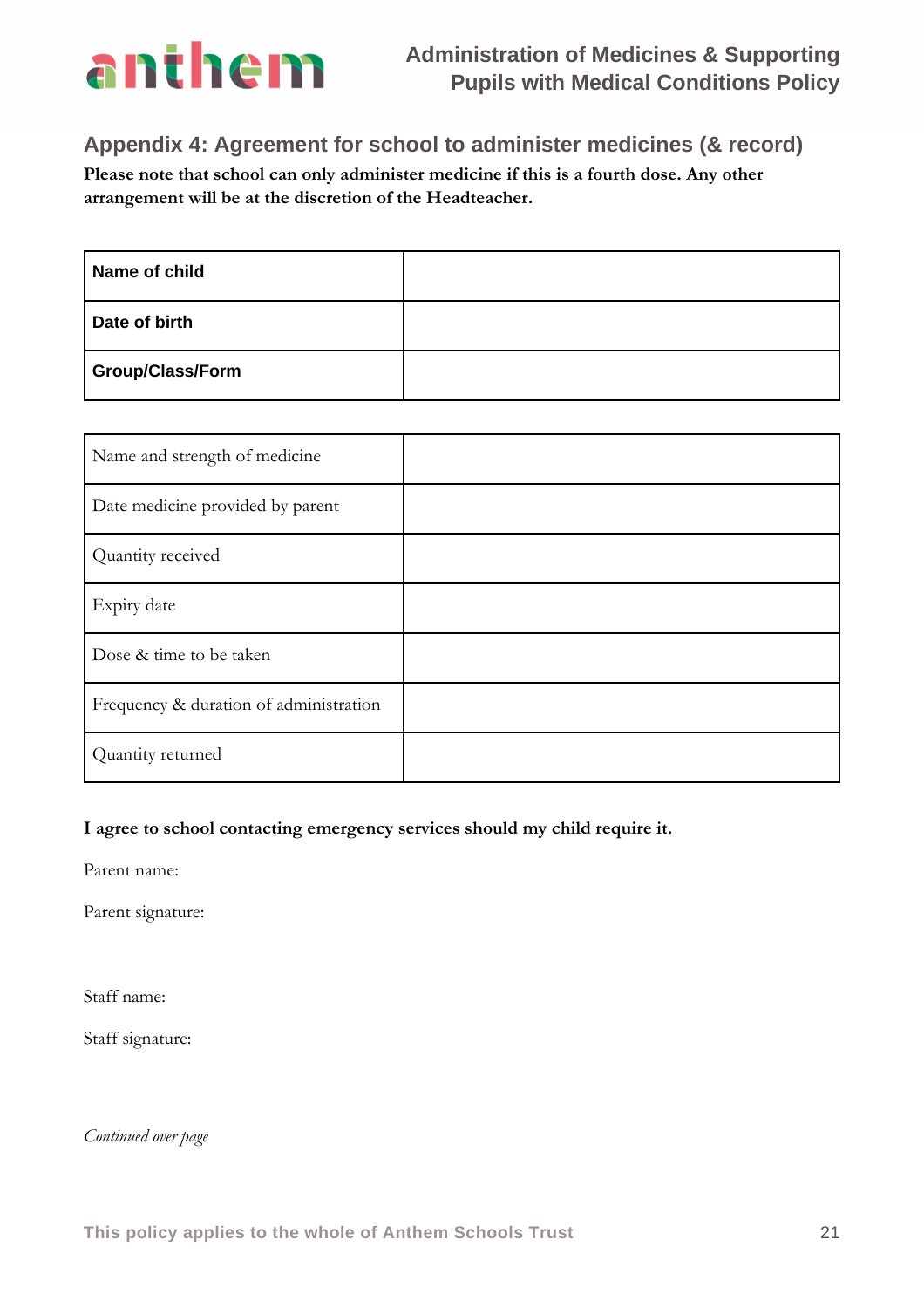

## **Appendix 4: Agreement for school to administer medicines (& record)**

**Please note that school can only administer medicine if this is a fourth dose. Any other arrangement will be at the discretion of the Headteacher.**

| Name of child    |  |
|------------------|--|
| Date of birth    |  |
| Group/Class/Form |  |

| Name and strength of medicine          |  |
|----------------------------------------|--|
| Date medicine provided by parent       |  |
| Quantity received                      |  |
| Expiry date                            |  |
| Dose & time to be taken                |  |
| Frequency & duration of administration |  |
| Quantity returned                      |  |

#### **I agree to school contacting emergency services should my child require it.**

Parent name:

Parent signature:

Staff name:

Staff signature:

*Continued over page*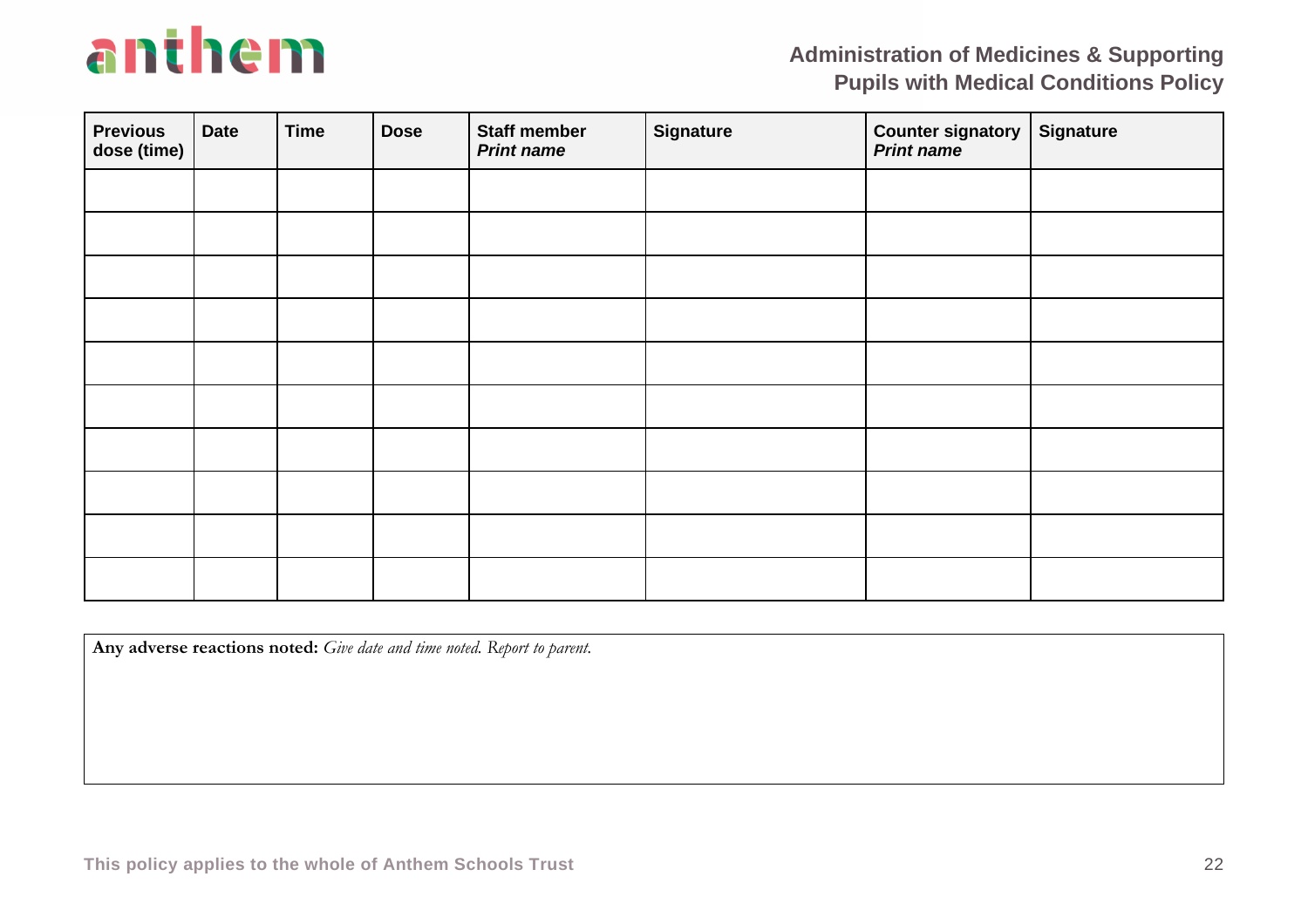

| <b>Previous</b><br>dose (time) | <b>Date</b> | <b>Time</b> | <b>Dose</b> | <b>Staff member</b><br><b>Print name</b> | <b>Signature</b> | <b>Counter signatory</b><br><b>Print name</b> | <b>Signature</b> |
|--------------------------------|-------------|-------------|-------------|------------------------------------------|------------------|-----------------------------------------------|------------------|
|                                |             |             |             |                                          |                  |                                               |                  |
|                                |             |             |             |                                          |                  |                                               |                  |
|                                |             |             |             |                                          |                  |                                               |                  |
|                                |             |             |             |                                          |                  |                                               |                  |
|                                |             |             |             |                                          |                  |                                               |                  |
|                                |             |             |             |                                          |                  |                                               |                  |
|                                |             |             |             |                                          |                  |                                               |                  |
|                                |             |             |             |                                          |                  |                                               |                  |
|                                |             |             |             |                                          |                  |                                               |                  |
|                                |             |             |             |                                          |                  |                                               |                  |

**Any adverse reactions noted:** *Give date and time noted. Report to parent.*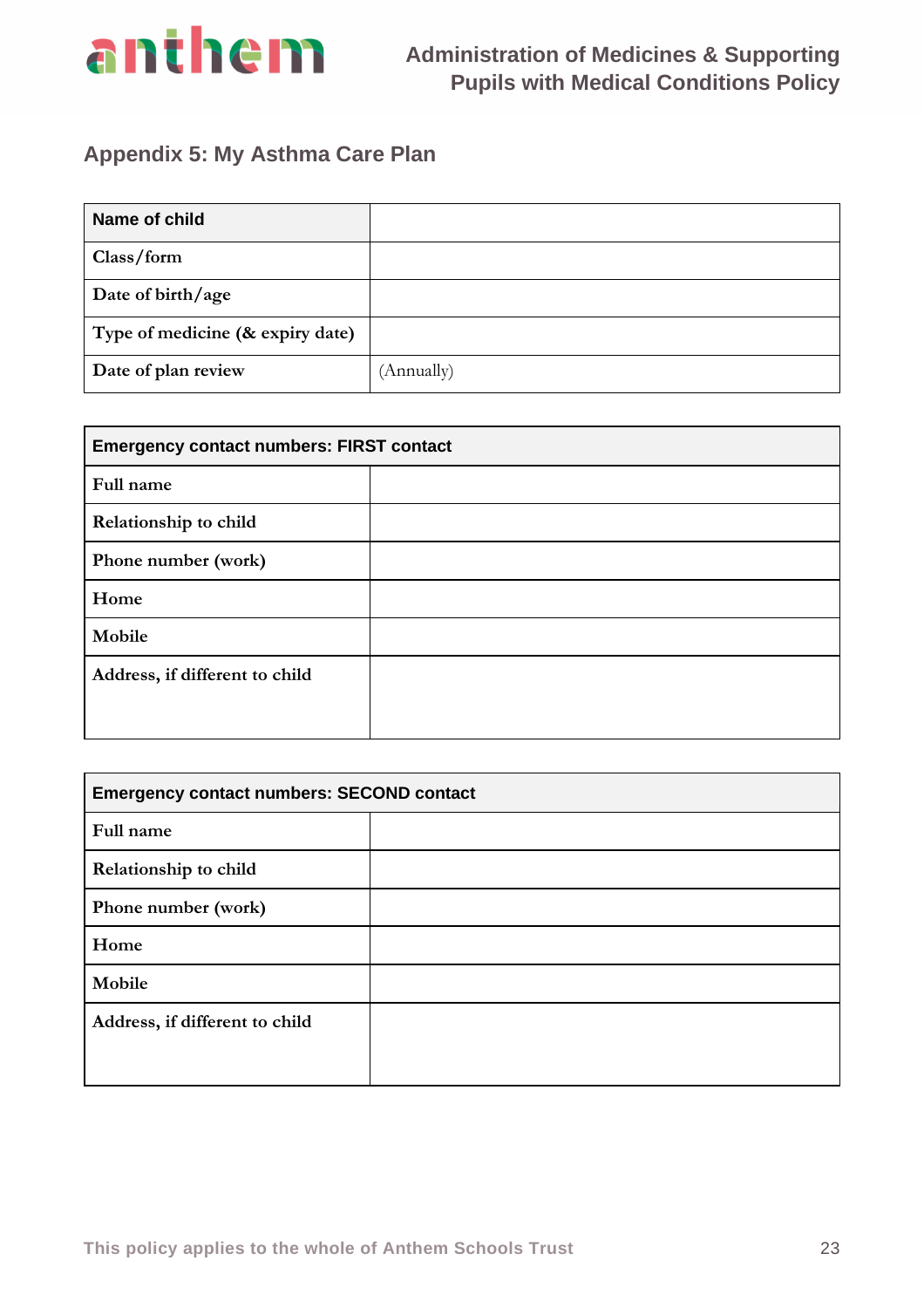

# **Appendix 5: My Asthma Care Plan**

| Name of child                    |            |
|----------------------------------|------------|
| Class/form                       |            |
| Date of birth/age                |            |
| Type of medicine (& expiry date) |            |
| Date of plan review              | (Annually) |

| <b>Emergency contact numbers: FIRST contact</b> |  |  |
|-------------------------------------------------|--|--|
| Full name                                       |  |  |
| Relationship to child                           |  |  |
| Phone number (work)                             |  |  |
| Home                                            |  |  |
| Mobile                                          |  |  |
| Address, if different to child                  |  |  |
|                                                 |  |  |

| <b>Emergency contact numbers: SECOND contact</b> |  |  |
|--------------------------------------------------|--|--|
| Full name                                        |  |  |
| Relationship to child                            |  |  |
| Phone number (work)                              |  |  |
| Home                                             |  |  |
| Mobile                                           |  |  |
| Address, if different to child                   |  |  |
|                                                  |  |  |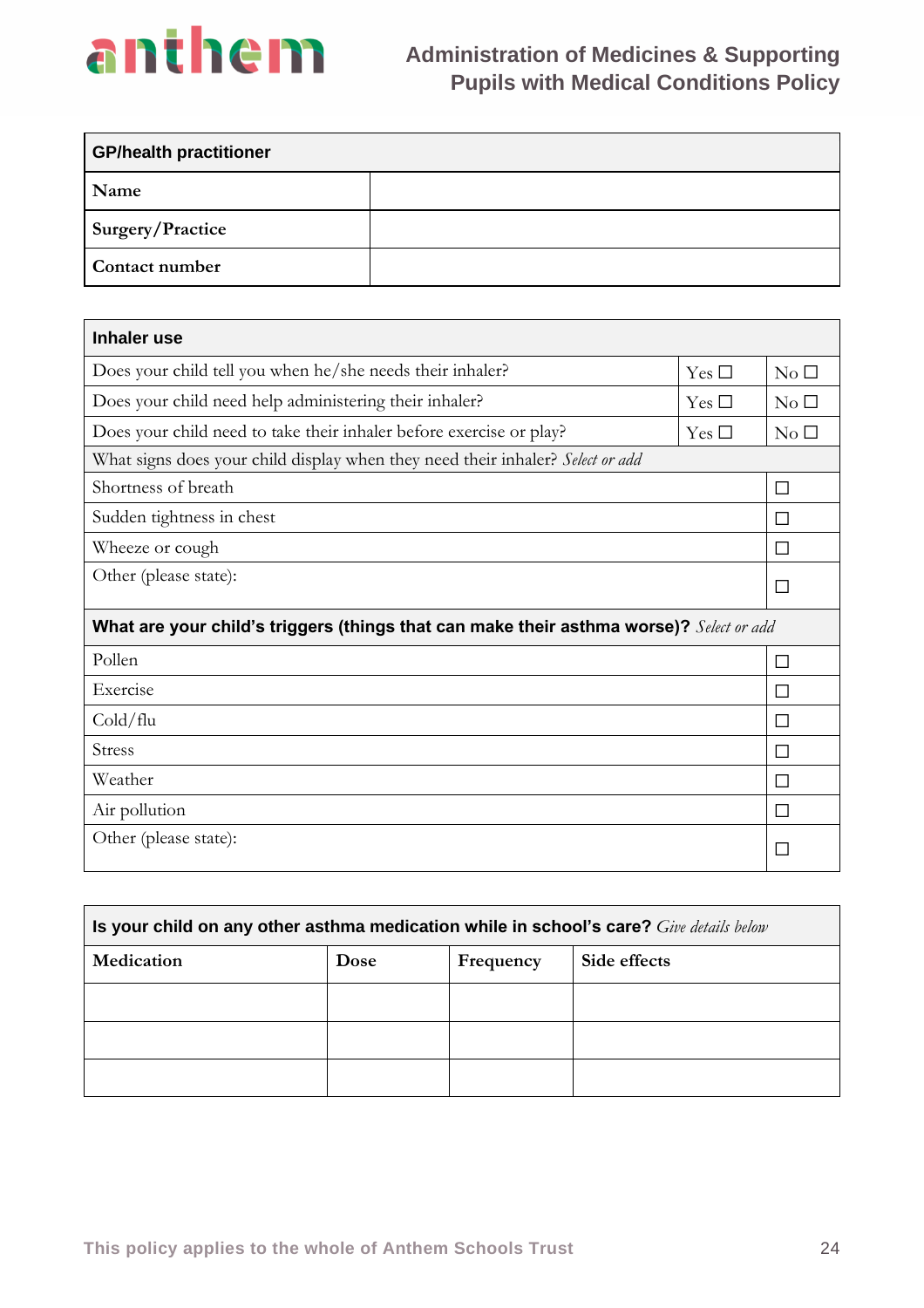

| <b>GP/health practitioner</b> |  |  |  |
|-------------------------------|--|--|--|
| Name                          |  |  |  |
| Surgery/Practice              |  |  |  |
| <b>Contact number</b>         |  |  |  |

| Inhaler use                                                                             |            |                 |  |  |  |
|-----------------------------------------------------------------------------------------|------------|-----------------|--|--|--|
| Does your child tell you when he/she needs their inhaler?<br>Yes $\square$              |            |                 |  |  |  |
| Does your child need help administering their inhaler?                                  | Yes $\Box$ | No <sub>1</sub> |  |  |  |
| Does your child need to take their inhaler before exercise or play?                     | Yes $\Box$ | $\rm No~\Box$   |  |  |  |
| What signs does your child display when they need their inhaler? Select or add          |            |                 |  |  |  |
| Shortness of breath                                                                     |            | П               |  |  |  |
| Sudden tightness in chest                                                               |            | $\Box$          |  |  |  |
| Wheeze or cough                                                                         |            | $\Box$          |  |  |  |
| Other (please state):                                                                   |            |                 |  |  |  |
| What are your child's triggers (things that can make their asthma worse)? Select or add |            |                 |  |  |  |
| Pollen                                                                                  |            | $\Box$          |  |  |  |
| Exercise                                                                                |            |                 |  |  |  |
| $\text{Gold}/\text{flu}$                                                                |            |                 |  |  |  |
| <b>Stress</b>                                                                           |            |                 |  |  |  |
| Weather                                                                                 |            |                 |  |  |  |
| Air pollution                                                                           |            |                 |  |  |  |
| Other (please state):                                                                   |            |                 |  |  |  |

| Is your child on any other asthma medication while in school's care? Give details below |                                   |  |  |  |  |  |  |
|-----------------------------------------------------------------------------------------|-----------------------------------|--|--|--|--|--|--|
| Medication                                                                              | Side effects<br>Dose<br>Frequency |  |  |  |  |  |  |
|                                                                                         |                                   |  |  |  |  |  |  |
|                                                                                         |                                   |  |  |  |  |  |  |
|                                                                                         |                                   |  |  |  |  |  |  |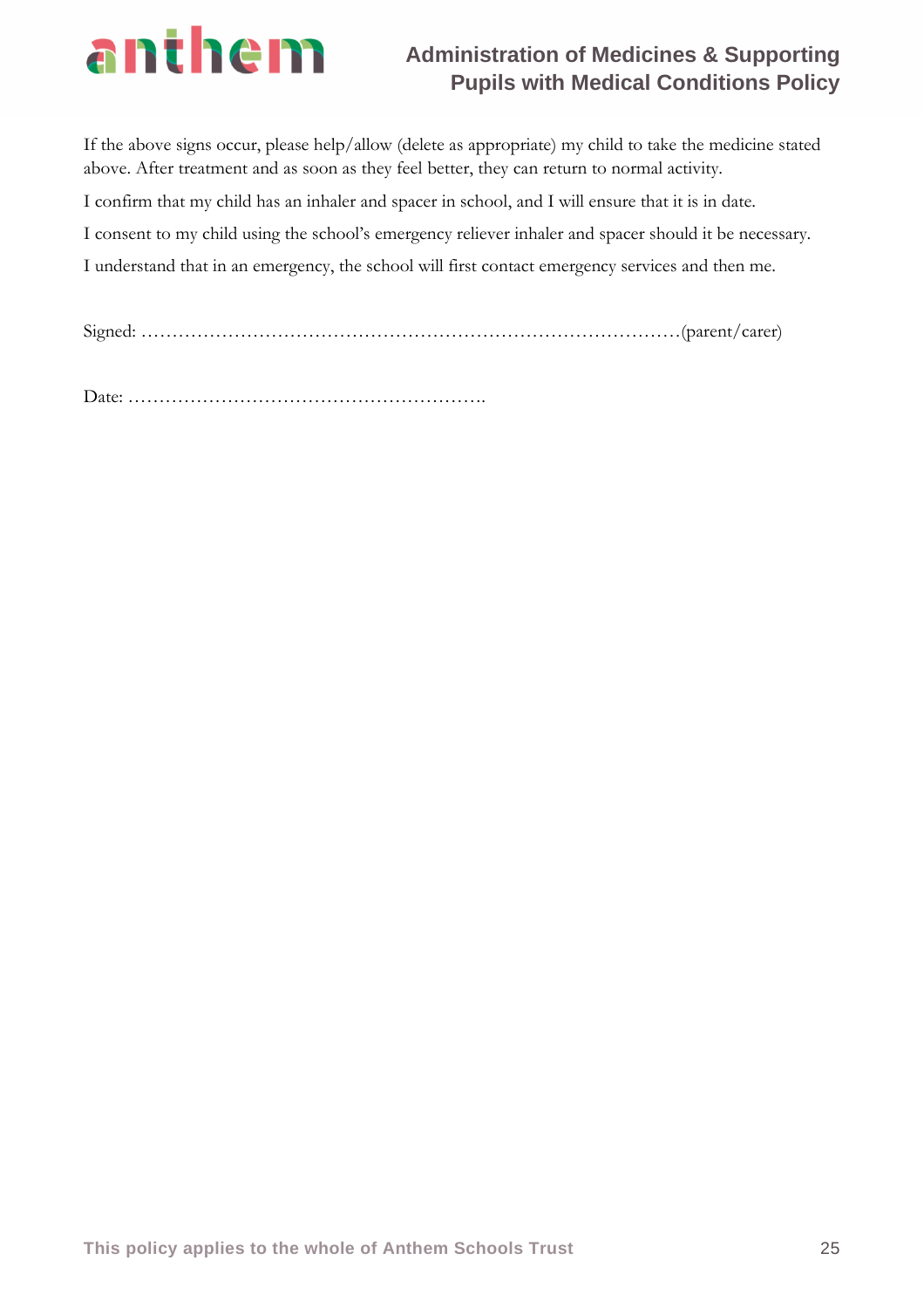

If the above signs occur, please help/allow (delete as appropriate) my child to take the medicine stated above. After treatment and as soon as they feel better, they can return to normal activity. I confirm that my child has an inhaler and spacer in school, and I will ensure that it is in date. I consent to my child using the school's emergency reliever inhaler and spacer should it be necessary.

I understand that in an emergency, the school will first contact emergency services and then me.

Signed: ……………………………………………………………………………(parent/carer)

Date: ………………………………………………….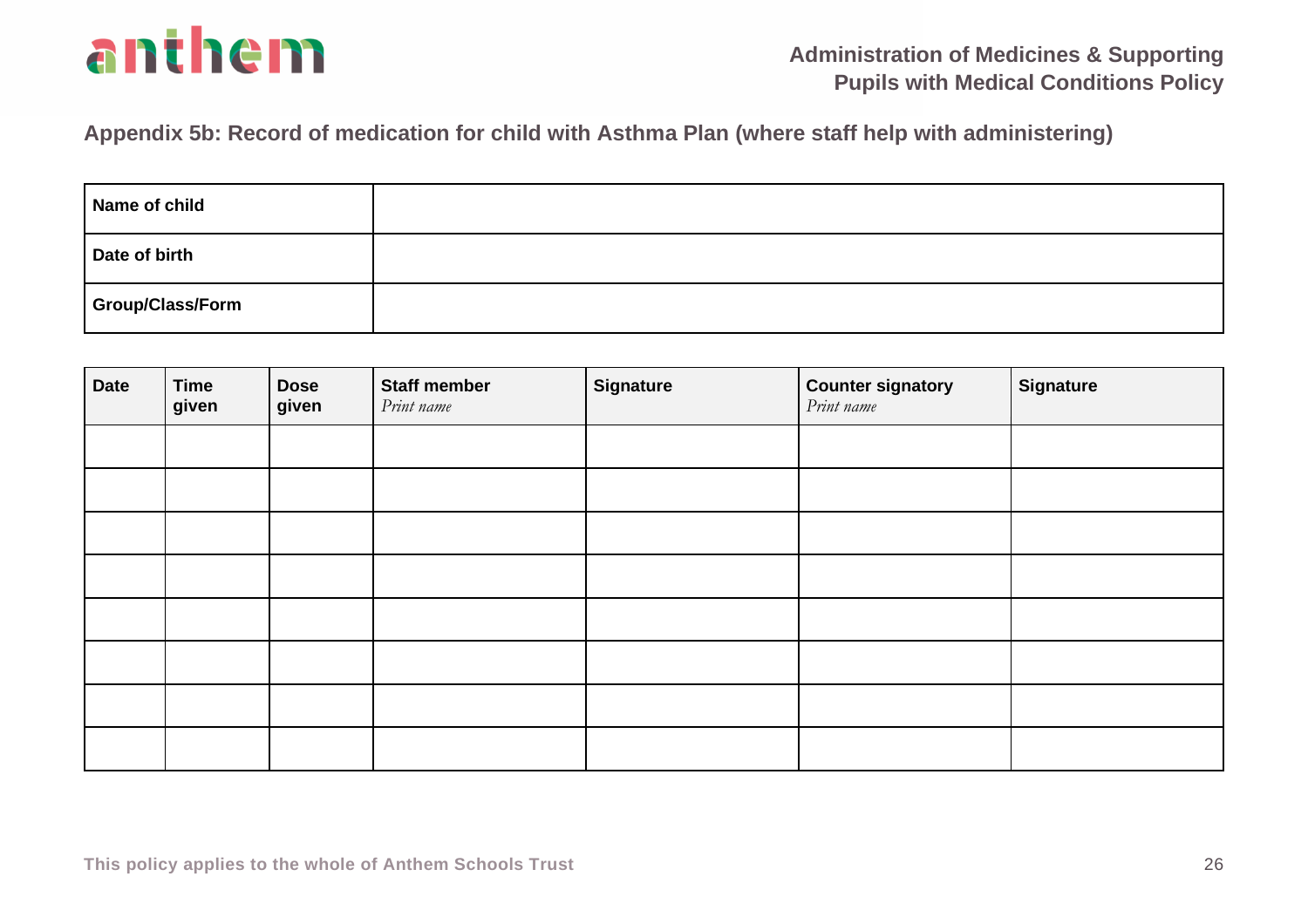

**Appendix 5b: Record of medication for child with Asthma Plan (where staff help with administering)**

| Name of child    |  |
|------------------|--|
| Date of birth    |  |
| Group/Class/Form |  |

| <b>Date</b> | <b>Time</b><br>given | <b>Dose</b><br>given | <b>Staff member</b><br>Print name | <b>Signature</b> | <b>Counter signatory</b><br>Print name | <b>Signature</b> |
|-------------|----------------------|----------------------|-----------------------------------|------------------|----------------------------------------|------------------|
|             |                      |                      |                                   |                  |                                        |                  |
|             |                      |                      |                                   |                  |                                        |                  |
|             |                      |                      |                                   |                  |                                        |                  |
|             |                      |                      |                                   |                  |                                        |                  |
|             |                      |                      |                                   |                  |                                        |                  |
|             |                      |                      |                                   |                  |                                        |                  |
|             |                      |                      |                                   |                  |                                        |                  |
|             |                      |                      |                                   |                  |                                        |                  |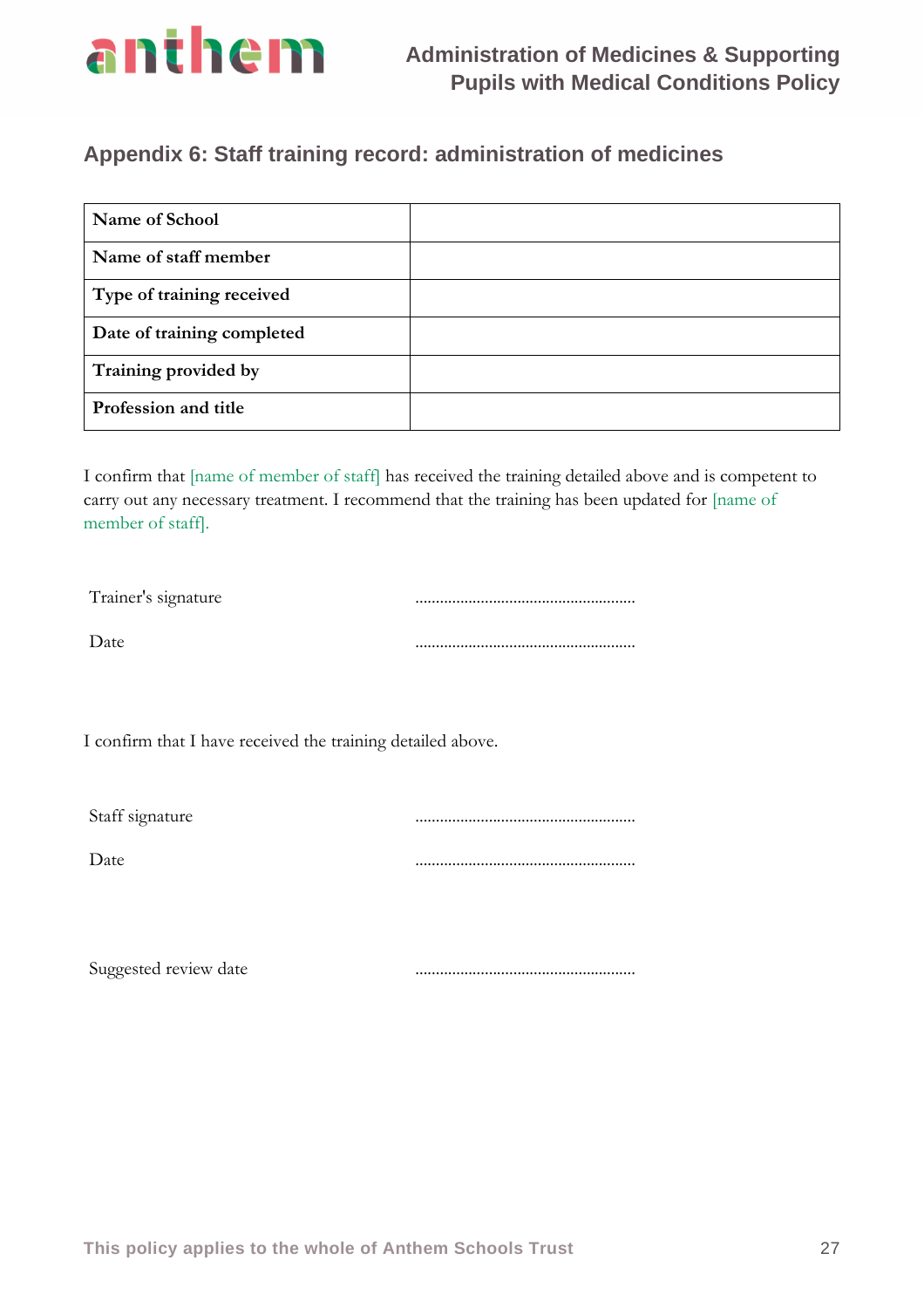

## **Appendix 6: Staff training record: administration of medicines**

| Name of School             |  |
|----------------------------|--|
| Name of staff member       |  |
| Type of training received  |  |
| Date of training completed |  |
| Training provided by       |  |
| Profession and title       |  |

I confirm that [name of member of staff] has received the training detailed above and is competent to carry out any necessary treatment. I recommend that the training has been updated for [name of member of staff].

Trainer's signature ......................................................

Date ......................................................

I confirm that I have received the training detailed above.

Staff signature ......................................................

Date ......................................................

Suggested review date ......................................................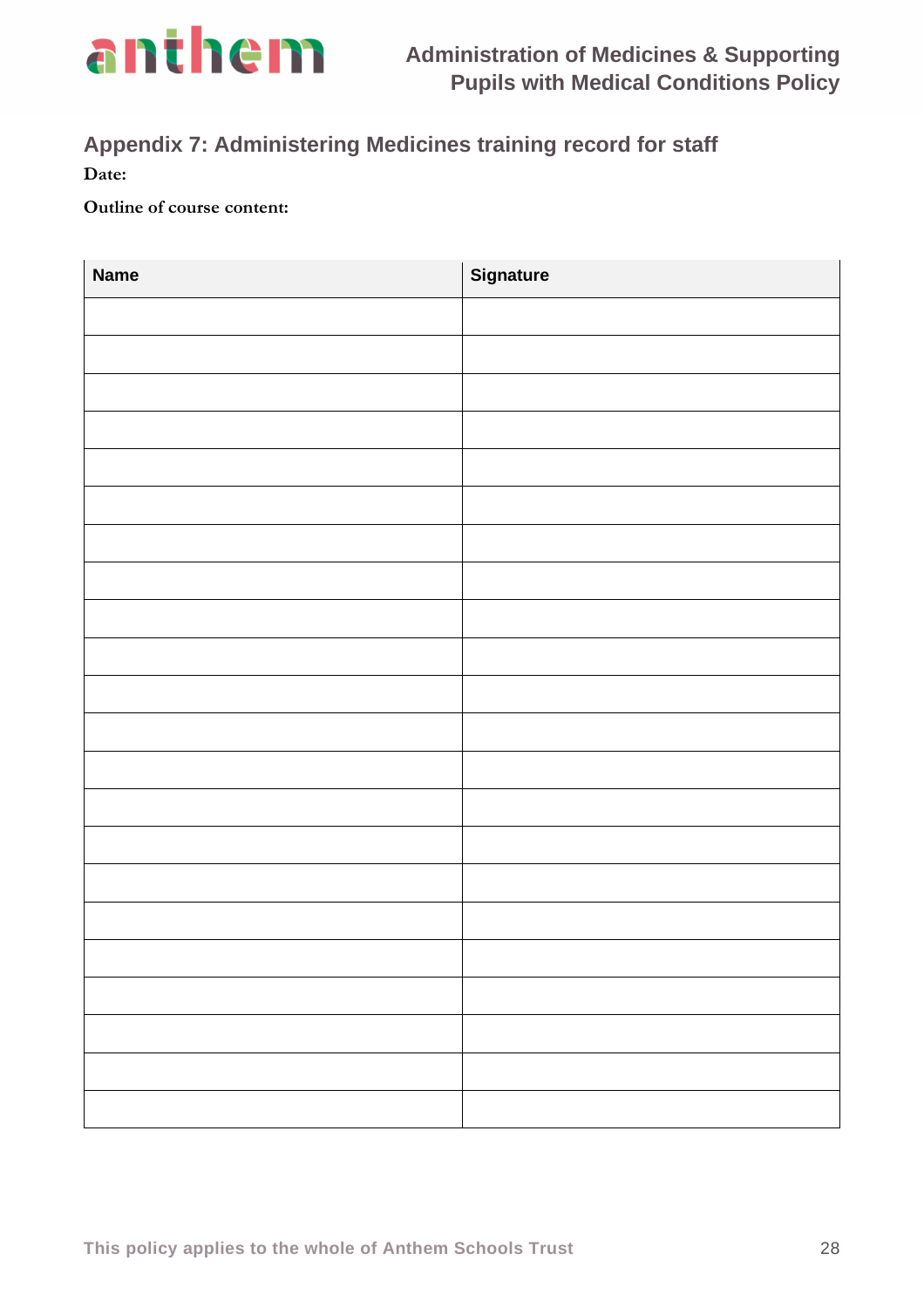

**Appendix 7: Administering Medicines training record for staff**

**Date:**

**Outline of course content:**

| <b>Name</b> | <b>Signature</b> |
|-------------|------------------|
|             |                  |
|             |                  |
|             |                  |
|             |                  |
|             |                  |
|             |                  |
|             |                  |
|             |                  |
|             |                  |
|             |                  |
|             |                  |
|             |                  |
|             |                  |
|             |                  |
|             |                  |
|             |                  |
|             |                  |
|             |                  |
|             |                  |
|             |                  |
|             |                  |
|             |                  |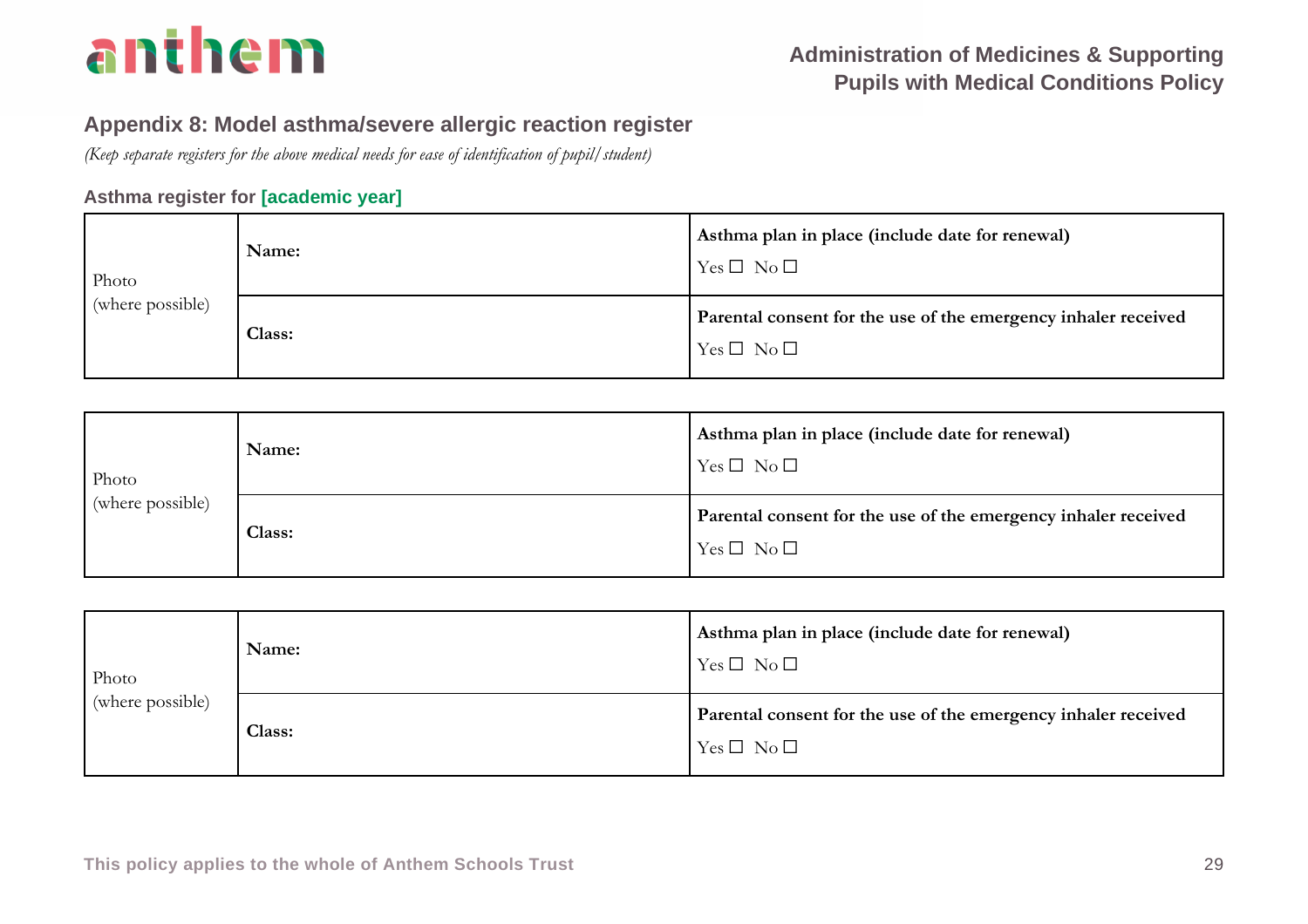## **Appendix 8: Model asthma/severe allergic reaction register**

*(Keep separate registers for the above medical needs for ease of identification of pupil/student)*

#### **Asthma register for [academic year]**

| Photo<br>(where possible) | Name:  | Asthma plan in place (include date for renewal)<br>$Yes \Box No \Box$                |
|---------------------------|--------|--------------------------------------------------------------------------------------|
|                           | Class: | Parental consent for the use of the emergency inhaler received<br>$Yes \Box No \Box$ |

| Photo<br>(where possible) | Name:  | Asthma plan in place (include date for renewal)<br>$Yes \Box No \Box$                |  |  |  |
|---------------------------|--------|--------------------------------------------------------------------------------------|--|--|--|
|                           | Class: | Parental consent for the use of the emergency inhaler received<br>$Yes \Box No \Box$ |  |  |  |

| Photo<br>(where possible) | Name:  | Asthma plan in place (include date for renewal)<br>$Yes \Box No \Box$                |  |  |  |
|---------------------------|--------|--------------------------------------------------------------------------------------|--|--|--|
|                           | Class: | Parental consent for the use of the emergency inhaler received<br>$Yes \Box No \Box$ |  |  |  |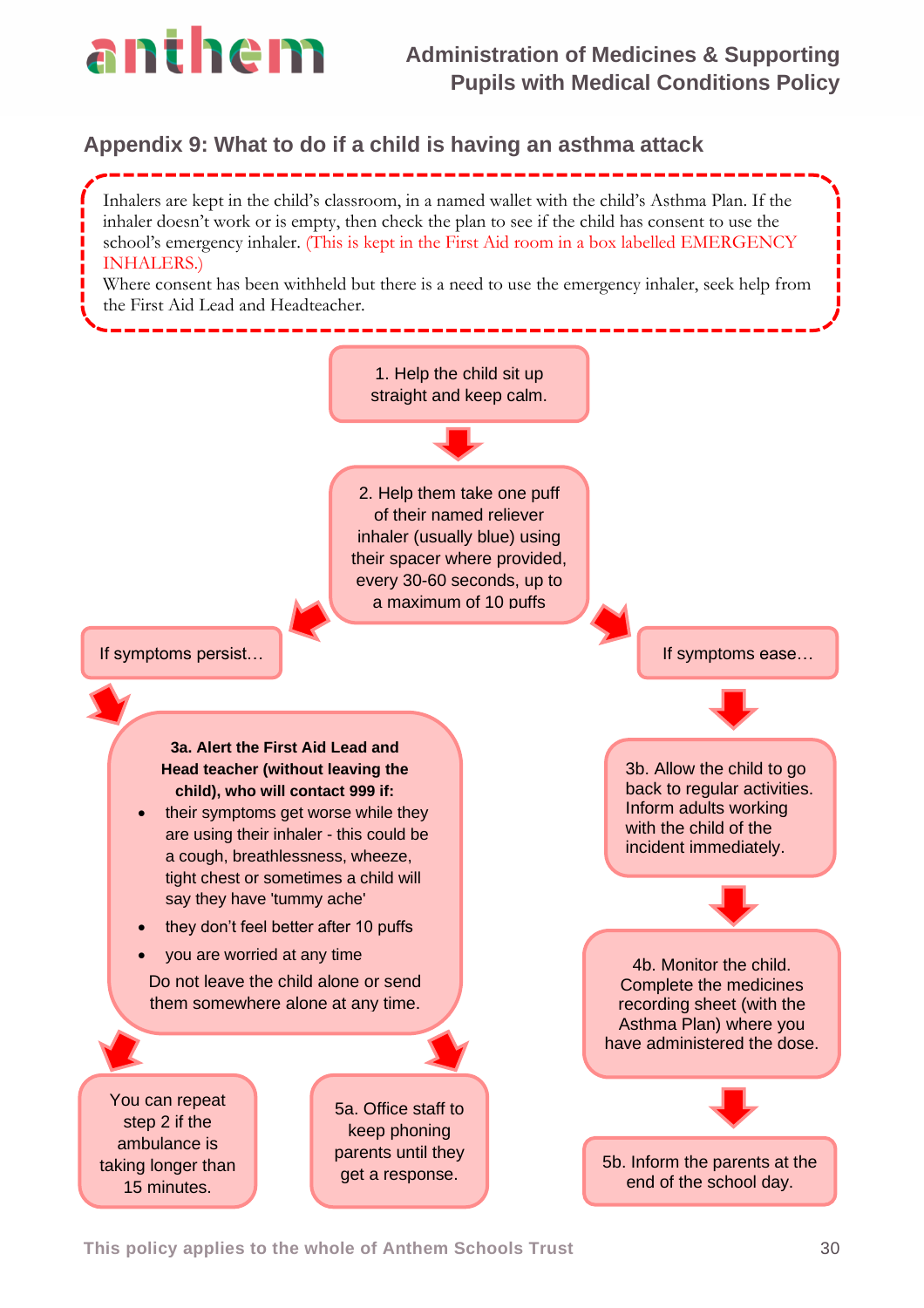

## **Appendix 9: What to do if a child is having an asthma attack**

Inhalers are kept in the child's classroom, in a named wallet with the child's Asthma Plan. If the inhaler doesn't work or is empty, then check the plan to see if the child has consent to use the school's emergency inhaler. (This is kept in the First Aid room in a box labelled EMERGENCY INHALERS.)

Where consent has been withheld but there is a need to use the emergency inhaler, seek help from the First Aid Lead and Headteacher.



**This policy applies to the whole of Anthem Schools Trust** 30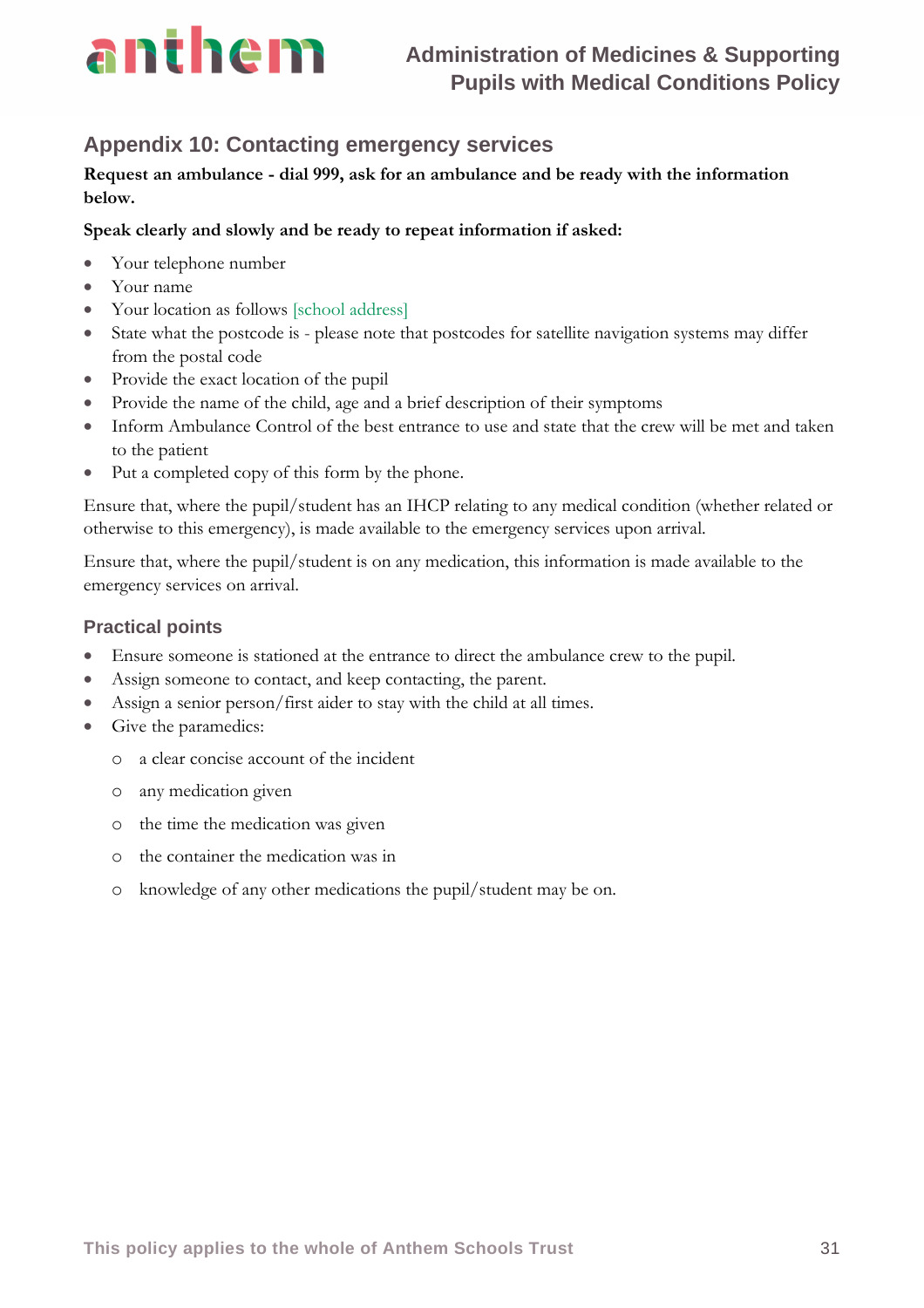

### **Appendix 10: Contacting emergency services**

#### **Request an ambulance - dial 999, ask for an ambulance and be ready with the information below.**

#### **Speak clearly and slowly and be ready to repeat information if asked:**

- Your telephone number
- Your name
- Your location as follows [school address]
- State what the postcode is please note that postcodes for satellite navigation systems may differ from the postal code
- Provide the exact location of the pupil
- Provide the name of the child, age and a brief description of their symptoms
- Inform Ambulance Control of the best entrance to use and state that the crew will be met and taken to the patient
- Put a completed copy of this form by the phone.

Ensure that, where the pupil/student has an IHCP relating to any medical condition (whether related or otherwise to this emergency), is made available to the emergency services upon arrival.

Ensure that, where the pupil/student is on any medication, this information is made available to the emergency services on arrival.

#### **Practical points**

- Ensure someone is stationed at the entrance to direct the ambulance crew to the pupil.
- Assign someone to contact, and keep contacting, the parent.
- Assign a senior person/first aider to stay with the child at all times.
- Give the paramedics:
	- o a clear concise account of the incident
	- o any medication given
	- o the time the medication was given
	- o the container the medication was in
	- o knowledge of any other medications the pupil/student may be on.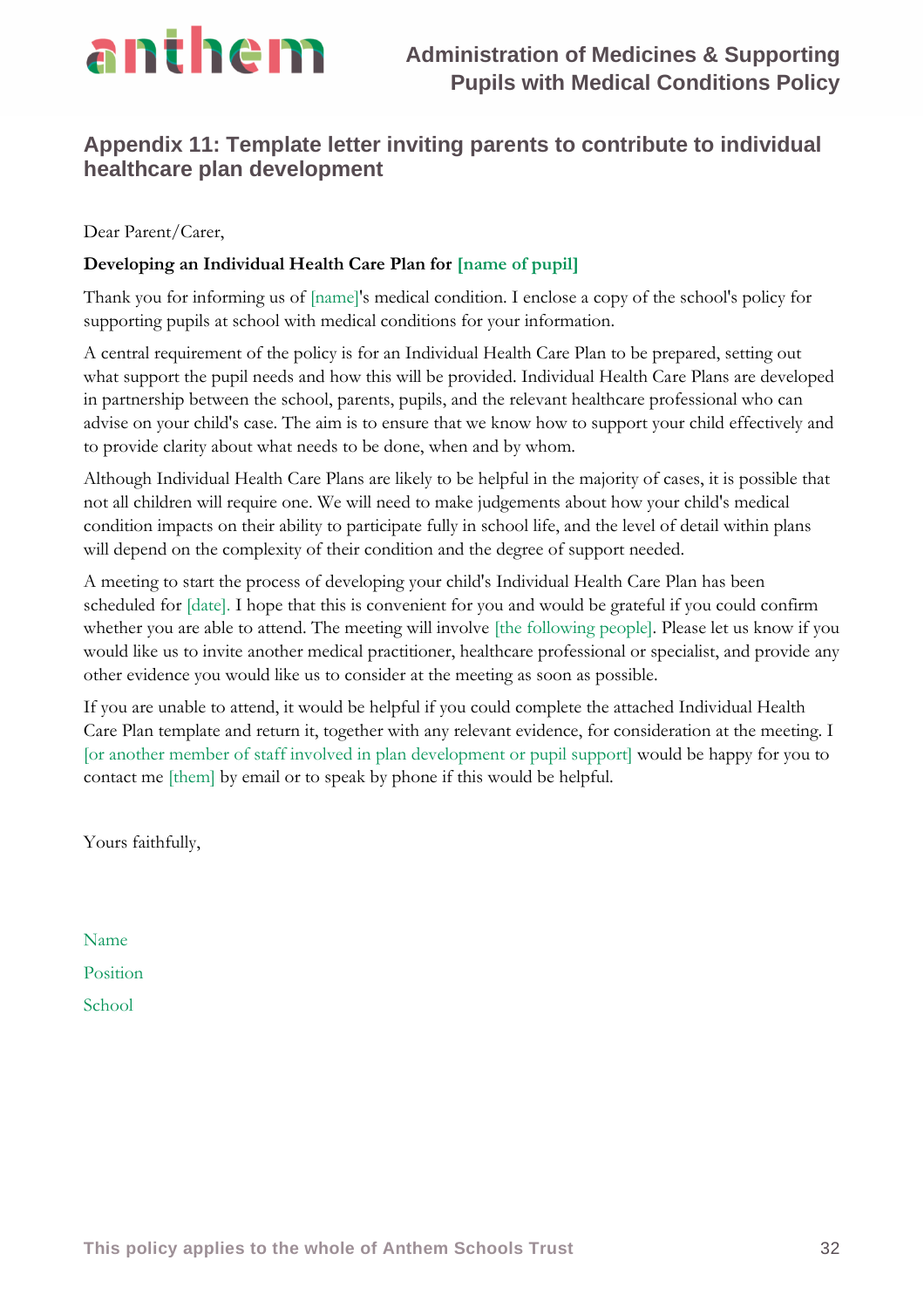

## **Appendix 11: Template letter inviting parents to contribute to individual healthcare plan development**

Dear Parent/Carer,

#### **Developing an Individual Health Care Plan for [name of pupil]**

Thank you for informing us of [name]'s medical condition. I enclose a copy of the school's policy for supporting pupils at school with medical conditions for your information.

A central requirement of the policy is for an Individual Health Care Plan to be prepared, setting out what support the pupil needs and how this will be provided. Individual Health Care Plans are developed in partnership between the school, parents, pupils, and the relevant healthcare professional who can advise on your child's case. The aim is to ensure that we know how to support your child effectively and to provide clarity about what needs to be done, when and by whom.

Although Individual Health Care Plans are likely to be helpful in the majority of cases, it is possible that not all children will require one. We will need to make judgements about how your child's medical condition impacts on their ability to participate fully in school life, and the level of detail within plans will depend on the complexity of their condition and the degree of support needed.

A meeting to start the process of developing your child's Individual Health Care Plan has been scheduled for [date]. I hope that this is convenient for you and would be grateful if you could confirm whether you are able to attend. The meeting will involve [the following people]. Please let us know if you would like us to invite another medical practitioner, healthcare professional or specialist, and provide any other evidence you would like us to consider at the meeting as soon as possible.

If you are unable to attend, it would be helpful if you could complete the attached Individual Health Care Plan template and return it, together with any relevant evidence, for consideration at the meeting. I [or another member of staff involved in plan development or pupil support] would be happy for you to contact me [them] by email or to speak by phone if this would be helpful.

Yours faithfully,

Name Position **School**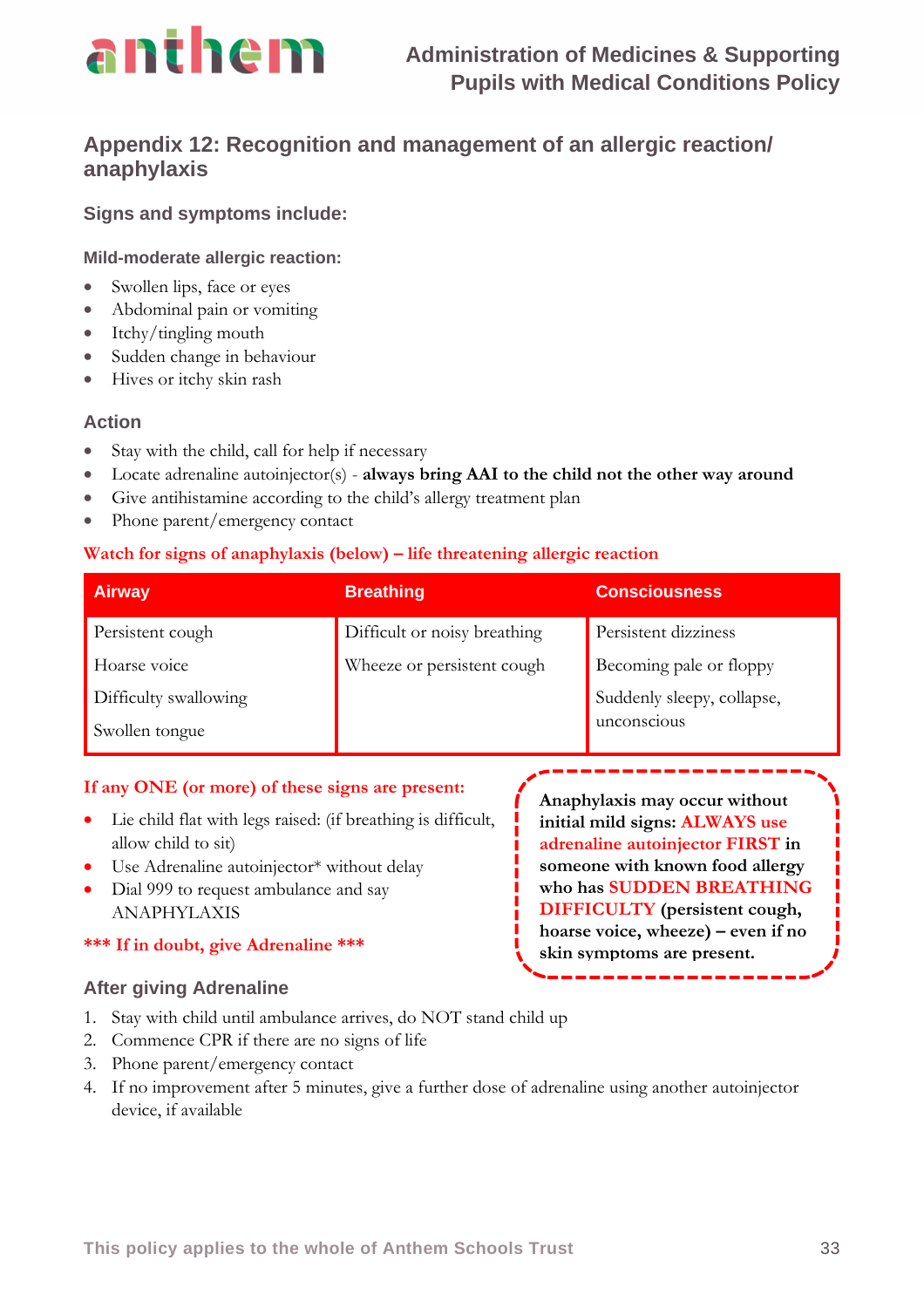

## **Appendix 12: Recognition and management of an allergic reaction/ anaphylaxis**

**Signs and symptoms include:**

#### **Mild-moderate allergic reaction:**

- Swollen lips, face or eyes
- Abdominal pain or vomiting
- Itchy/tingling mouth
- Sudden change in behaviour
- Hives or itchy skin rash

#### **Action**

- Stay with the child, call for help if necessary
- Locate adrenaline autoinjector(s) **always bring AAI to the child not the other way around**
- Give antihistamine according to the child's allergy treatment plan
- Phone parent/emergency contact

#### **Watch for signs of anaphylaxis (below) – life threatening allergic reaction**

| <b>Airway</b>         | <b>Breathing</b>             | <b>Consciousness</b>       |  |  |
|-----------------------|------------------------------|----------------------------|--|--|
| Persistent cough      | Difficult or noisy breathing | Persistent dizziness       |  |  |
| Hoarse voice          | Wheeze or persistent cough   | Becoming pale or floppy    |  |  |
| Difficulty swallowing |                              | Suddenly sleepy, collapse, |  |  |
| Swollen tongue        |                              | unconscious                |  |  |

#### **If any ONE (or more) of these signs are present:**

- Lie child flat with legs raised: (if breathing is difficult, allow child to sit)
- Use Adrenaline autoinjector<sup>\*</sup> without delay
- Dial 999 to request ambulance and say ANAPHYLAXIS

#### **\*\*\* If in doubt, give Adrenaline \*\*\***

#### **After giving Adrenaline**

- 1. Stay with child until ambulance arrives, do NOT stand child up
- 2. Commence CPR if there are no signs of life
- 3. Phone parent/emergency contact
- 4. If no improvement after 5 minutes, give a further dose of adrenaline using another autoinjector device, if available

**Anaphylaxis may occur without initial mild signs: ALWAYS use adrenaline autoinjector FIRST in someone with known food allergy who has SUDDEN BREATHING DIFFICULTY (persistent cough, hoarse voice, wheeze) – even if no skin symptoms are present.**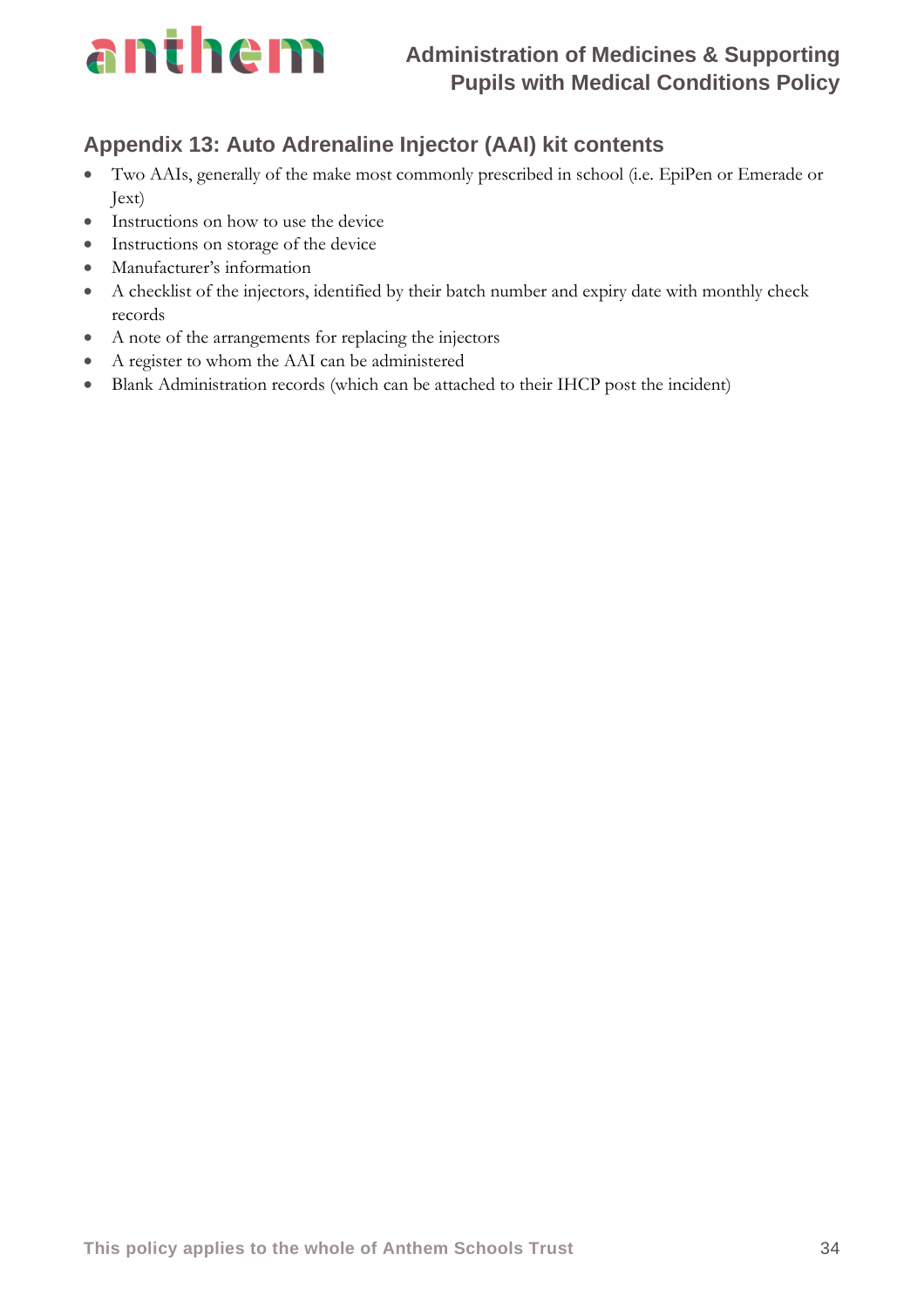

## **Appendix 13: Auto Adrenaline Injector (AAI) kit contents**

- Two AAIs, generally of the make most commonly prescribed in school (i.e. EpiPen or Emerade or Jext)
- Instructions on how to use the device
- Instructions on storage of the device
- Manufacturer's information
- A checklist of the injectors, identified by their batch number and expiry date with monthly check records
- A note of the arrangements for replacing the injectors
- A register to whom the AAI can be administered
- Blank Administration records (which can be attached to their IHCP post the incident)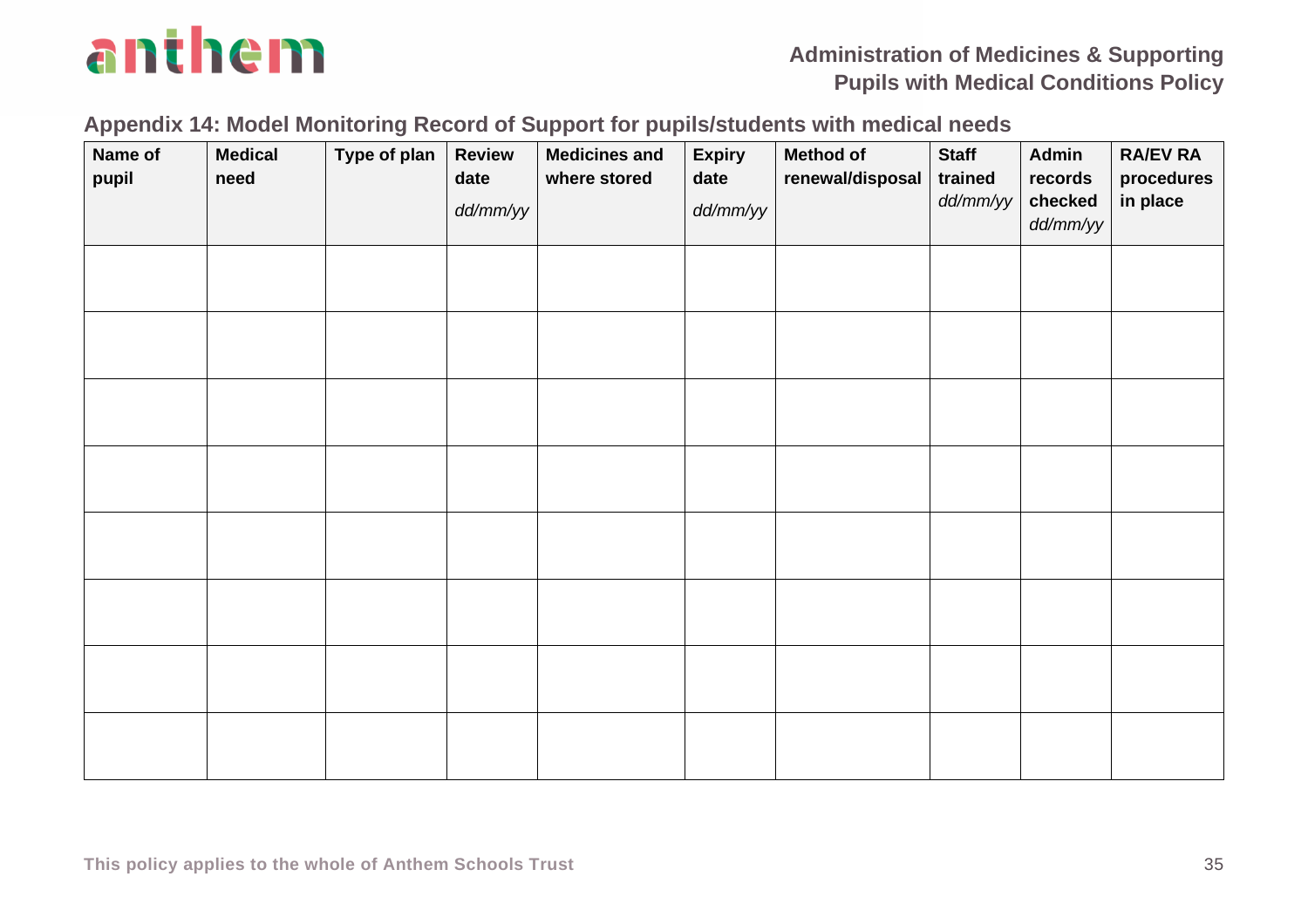# **Appendix 14: Model Monitoring Record of Support for pupils/students with medical needs**

| Name of<br>pupil | <b>Medical</b><br>need | Type of plan | <b>Review</b><br>date<br>dd/mm/yy | <b>Medicines and</b><br>where stored | <b>Expiry</b><br>date<br>dd/mm/yy | <b>Method of</b><br>renewal/disposal | <b>Staff</b><br>trained<br>dd/mm/yy | Admin<br>records<br>checked<br>dd/mm/yy | <b>RA/EV RA</b><br>procedures<br>in place |
|------------------|------------------------|--------------|-----------------------------------|--------------------------------------|-----------------------------------|--------------------------------------|-------------------------------------|-----------------------------------------|-------------------------------------------|
|                  |                        |              |                                   |                                      |                                   |                                      |                                     |                                         |                                           |
|                  |                        |              |                                   |                                      |                                   |                                      |                                     |                                         |                                           |
|                  |                        |              |                                   |                                      |                                   |                                      |                                     |                                         |                                           |
|                  |                        |              |                                   |                                      |                                   |                                      |                                     |                                         |                                           |
|                  |                        |              |                                   |                                      |                                   |                                      |                                     |                                         |                                           |
|                  |                        |              |                                   |                                      |                                   |                                      |                                     |                                         |                                           |
|                  |                        |              |                                   |                                      |                                   |                                      |                                     |                                         |                                           |
|                  |                        |              |                                   |                                      |                                   |                                      |                                     |                                         |                                           |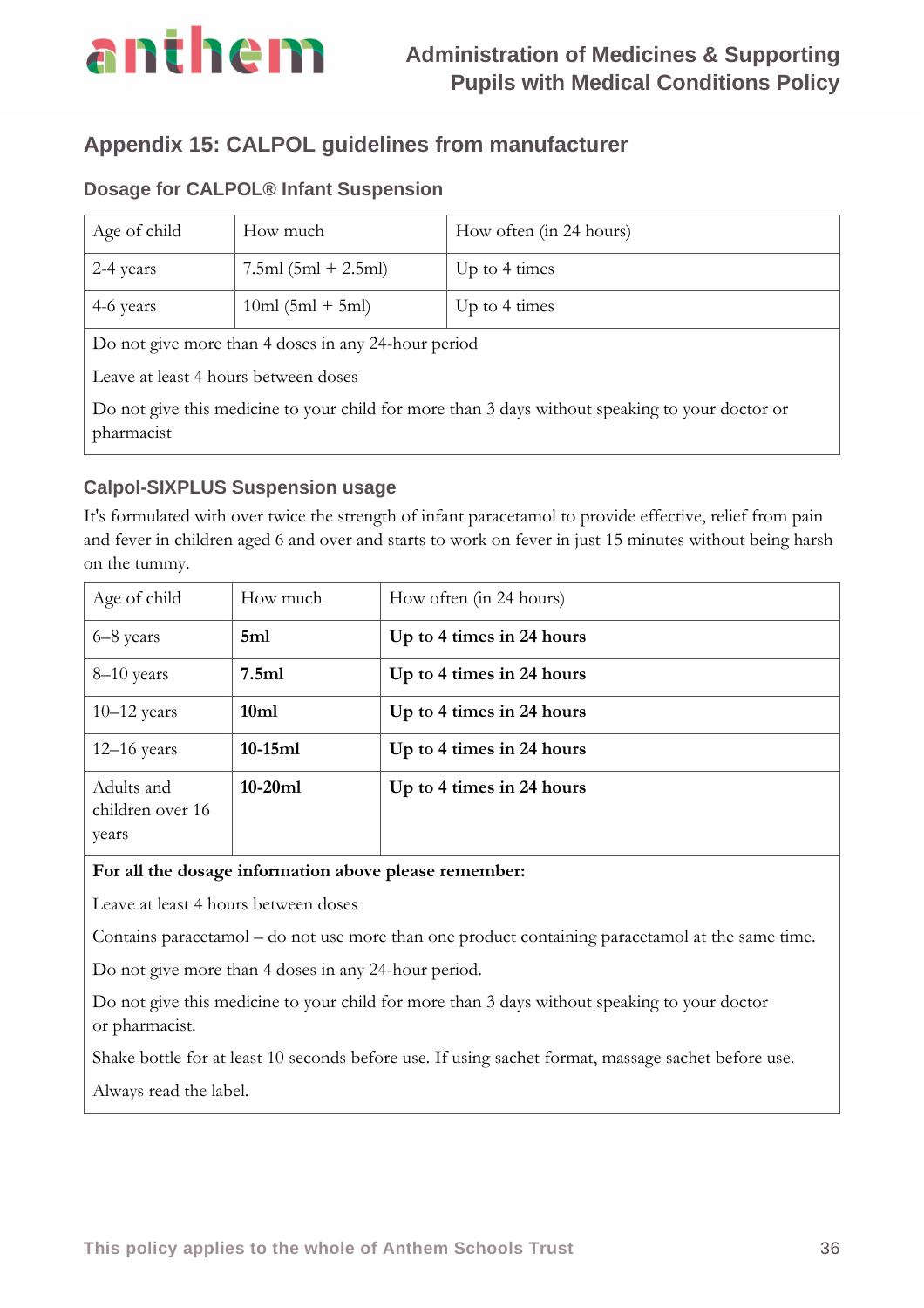

## **Appendix 15: CALPOL guidelines from manufacturer**

#### **Dosage for CALPOL® Infant Suspension**

| Age of child                                                                                                  | How much              | How often (in 24 hours) |  |  |
|---------------------------------------------------------------------------------------------------------------|-----------------------|-------------------------|--|--|
| 2-4 years                                                                                                     | $7.5ml (5ml + 2.5ml)$ | Up to 4 times           |  |  |
| 4-6 years                                                                                                     | $10ml (5ml + 5ml)$    | Up to 4 times           |  |  |
| Do not give more than 4 doses in any 24-hour period                                                           |                       |                         |  |  |
| Leave at least 4 hours between doses                                                                          |                       |                         |  |  |
| Do not give this medicine to your child for more than 3 days without speaking to your doctor or<br>pharmacist |                       |                         |  |  |

#### **Calpol-SIXPLUS Suspension usage**

It's formulated with over twice the strength of infant paracetamol to provide effective, relief from pain and fever in children aged 6 and over and starts to work on fever in just 15 minutes without being harsh on the tummy.

| Age of child                            | How much         | How often (in 24 hours)   |
|-----------------------------------------|------------------|---------------------------|
| 6–8 years                               | 5ml              | Up to 4 times in 24 hours |
| 8–10 years                              | 7.5ml            | Up to 4 times in 24 hours |
| $10-12$ years                           | 10 <sub>ml</sub> | Up to 4 times in 24 hours |
| $12-16$ years                           | $10-15ml$        | Up to 4 times in 24 hours |
| Adults and<br>children over 16<br>years | $10-20ml$        | Up to 4 times in 24 hours |

#### **For all the dosage information above please remember:**

Leave at least 4 hours between doses

Contains paracetamol – do not use more than one product containing paracetamol at the same time.

Do not give more than 4 doses in any 24-hour period.

Do not give this medicine to your child for more than 3 days without speaking to your doctor or pharmacist.

Shake bottle for at least 10 seconds before use. If using sachet format, massage sachet before use.

Always read the label.